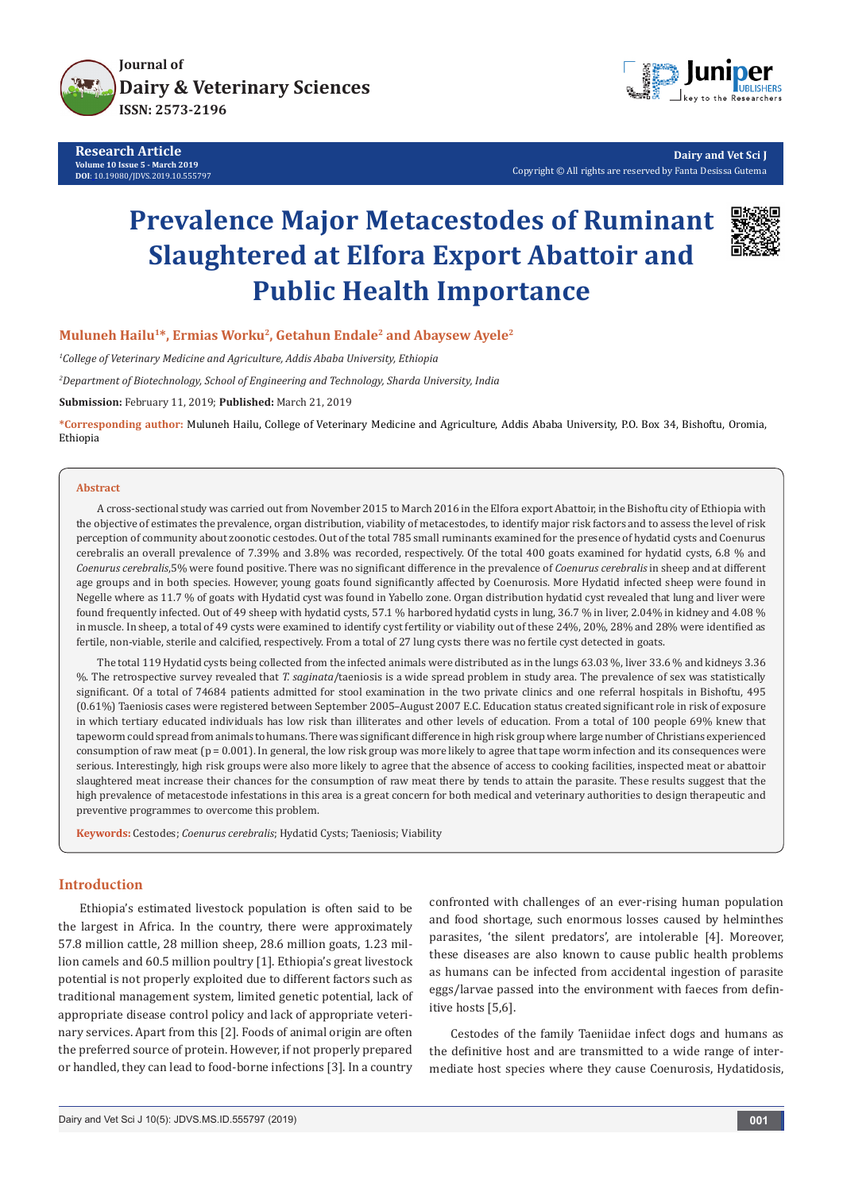

**Research Article Volume 10 Issue 5 - March 2019 DOI**: [10.19080/JDVS.2019.10.555797](http://dx.doi.org/10.19080/JDVS.2019.10.555797)



**Dairy and Vet Sci J** Copyright © All rights are reserved by Fanta Desissa Gutema

# **Prevalence Major Metacestodes of Ruminant Slaughtered at Elfora Export Abattoir and Public Health Importance**



#### Muluneh Hailu<sup>1\*</sup>, Ermias Worku<sup>2</sup>, Getahun Endale<sup>2</sup> and Abaysew Ayele<sup>2</sup>

*1 College of Veterinary Medicine and Agriculture, Addis Ababa University, Ethiopia*

*2 Department of Biotechnology, School of Engineering and Technology, Sharda University, India* 

**Submission:** February 11, 2019; **Published:** March 21, 2019

**\*Corresponding author:** Muluneh Hailu, College of Veterinary Medicine and Agriculture, Addis Ababa University, P.O. Box 34, Bishoftu, Oromia, Ethiopia

#### **Abstract**

A cross-sectional study was carried out from November 2015 to March 2016 in the Elfora export Abattoir, in the Bishoftu city of Ethiopia with the objective of estimates the prevalence, organ distribution, viability of metacestodes, to identify major risk factors and to assess the level of risk perception of community about zoonotic cestodes. Out of the total 785 small ruminants examined for the presence of hydatid cysts and Coenurus cerebralis an overall prevalence of 7.39% and 3.8% was recorded, respectively. Of the total 400 goats examined for hydatid cysts, 6.8 % and *Coenurus cerebralis*,5% were found positive. There was no significant difference in the prevalence of *Coenurus cerebralis* in sheep and at different age groups and in both species. However, young goats found significantly affected by Coenurosis. More Hydatid infected sheep were found in Negelle where as 11.7 % of goats with Hydatid cyst was found in Yabello zone. Organ distribution hydatid cyst revealed that lung and liver were found frequently infected. Out of 49 sheep with hydatid cysts, 57.1 % harbored hydatid cysts in lung, 36.7 % in liver, 2.04% in kidney and 4.08 % in muscle. In sheep, a total of 49 cysts were examined to identify cyst fertility or viability out of these 24%, 20%, 28% and 28% were identified as fertile, non-viable, sterile and calcified, respectively. From a total of 27 lung cysts there was no fertile cyst detected in goats.

The total 119 Hydatid cysts being collected from the infected animals were distributed as in the lungs 63.03 %, liver 33.6 % and kidneys 3.36 %. The retrospective survey revealed that *T. saginata*/taeniosis is a wide spread problem in study area. The prevalence of sex was statistically significant. Of a total of 74684 patients admitted for stool examination in the two private clinics and one referral hospitals in Bishoftu, 495 (0.61%) Taeniosis cases were registered between September 2005–August 2007 E.C. Education status created significant role in risk of exposure in which tertiary educated individuals has low risk than illiterates and other levels of education. From a total of 100 people 69% knew that tapeworm could spread from animals to humans. There was significant difference in high risk group where large number of Christians experienced consumption of raw meat (p = 0.001). In general, the low risk group was more likely to agree that tape worm infection and its consequences were serious. Interestingly, high risk groups were also more likely to agree that the absence of access to cooking facilities, inspected meat or abattoir slaughtered meat increase their chances for the consumption of raw meat there by tends to attain the parasite. These results suggest that the high prevalence of metacestode infestations in this area is a great concern for both medical and veterinary authorities to design therapeutic and preventive programmes to overcome this problem.

**Keywords:** Cestodes; *Coenurus cerebralis*; Hydatid Cysts; Taeniosis; Viability

#### **Introduction**

Ethiopia's estimated livestock population is often said to be the largest in Africa. In the country, there were approximately 57.8 million cattle, 28 million sheep, 28.6 million goats, 1.23 million camels and 60.5 million poultry [1]. Ethiopia's great livestock potential is not properly exploited due to different factors such as traditional management system, limited genetic potential, lack of appropriate disease control policy and lack of appropriate veterinary services. Apart from this [2]. Foods of animal origin are often the preferred source of protein. However, if not properly prepared or handled, they can lead to food-borne infections [3]. In a country

confronted with challenges of an ever-rising human population and food shortage, such enormous losses caused by helminthes parasites, 'the silent predators', are intolerable [4]. Moreover, these diseases are also known to cause public health problems as humans can be infected from accidental ingestion of parasite eggs/larvae passed into the environment with faeces from definitive hosts [5,6].

Cestodes of the family Taeniidae infect dogs and humans as the definitive host and are transmitted to a wide range of intermediate host species where they cause Coenurosis, Hydatidosis,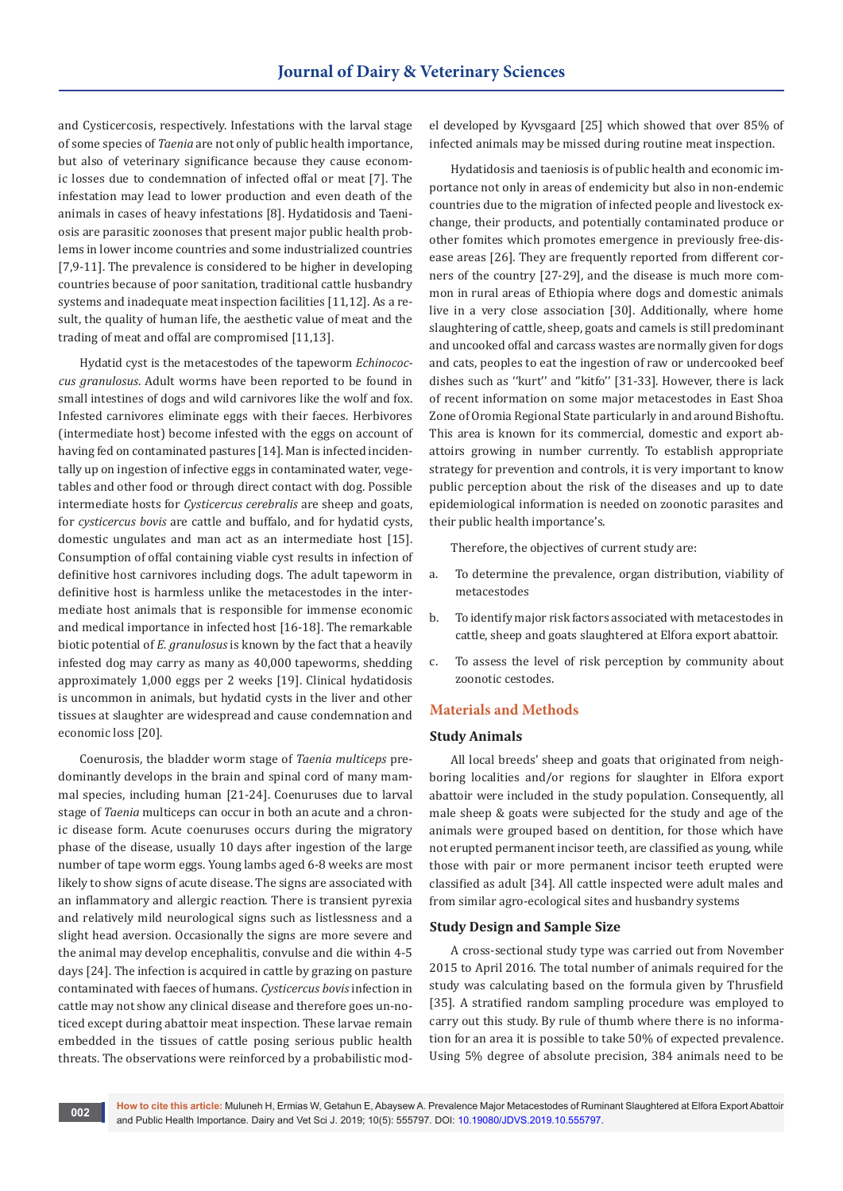and Cysticercosis, respectively. Infestations with the larval stage of some species of *Taenia* are not only of public health importance, but also of veterinary significance because they cause economic losses due to condemnation of infected offal or meat [7]. The infestation may lead to lower production and even death of the animals in cases of heavy infestations [8]. Hydatidosis and Taeniosis are parasitic zoonoses that present major public health problems in lower income countries and some industrialized countries [7,9-11]. The prevalence is considered to be higher in developing countries because of poor sanitation, traditional cattle husbandry systems and inadequate meat inspection facilities [11,12]. As a result, the quality of human life, the aesthetic value of meat and the trading of meat and offal are compromised [11,13].

Hydatid cyst is the metacestodes of the tapeworm *Echinococcus granulosus*. Adult worms have been reported to be found in small intestines of dogs and wild carnivores like the wolf and fox. Infested carnivores eliminate eggs with their faeces. Herbivores (intermediate host) become infested with the eggs on account of having fed on contaminated pastures [14]. Man is infected incidentally up on ingestion of infective eggs in contaminated water, vegetables and other food or through direct contact with dog. Possible intermediate hosts for *Cysticercus cerebralis* are sheep and goats, for *cysticercus bovis* are cattle and buffalo, and for hydatid cysts, domestic ungulates and man act as an intermediate host [15]. Consumption of offal containing viable cyst results in infection of definitive host carnivores including dogs. The adult tapeworm in definitive host is harmless unlike the metacestodes in the intermediate host animals that is responsible for immense economic and medical importance in infected host [16-18]. The remarkable biotic potential of *E. granulosus* is known by the fact that a heavily infested dog may carry as many as 40,000 tapeworms, shedding approximately 1,000 eggs per 2 weeks [19]. Clinical hydatidosis is uncommon in animals, but hydatid cysts in the liver and other tissues at slaughter are widespread and cause condemnation and economic loss [20].

Coenurosis, the bladder worm stage of *Taenia multiceps* predominantly develops in the brain and spinal cord of many mammal species, including human [21-24]. Coenuruses due to larval stage of *Taenia* multiceps can occur in both an acute and a chronic disease form. Acute coenuruses occurs during the migratory phase of the disease, usually 10 days after ingestion of the large number of tape worm eggs. Young lambs aged 6-8 weeks are most likely to show signs of acute disease. The signs are associated with an inflammatory and allergic reaction. There is transient pyrexia and relatively mild neurological signs such as listlessness and a slight head aversion. Occasionally the signs are more severe and the animal may develop encephalitis, convulse and die within 4-5 days [24]. The infection is acquired in cattle by grazing on pasture contaminated with faeces of humans. *Cysticercus bovis* infection in cattle may not show any clinical disease and therefore goes un-noticed except during abattoir meat inspection. These larvae remain embedded in the tissues of cattle posing serious public health threats. The observations were reinforced by a probabilistic model developed by Kyvsgaard [25] which showed that over 85% of infected animals may be missed during routine meat inspection.

Hydatidosis and taeniosis is of public health and economic importance not only in areas of endemicity but also in non-endemic countries due to the migration of infected people and livestock exchange, their products, and potentially contaminated produce or other fomites which promotes emergence in previously free-disease areas [26]. They are frequently reported from different corners of the country [27-29], and the disease is much more common in rural areas of Ethiopia where dogs and domestic animals live in a very close association [30]. Additionally, where home slaughtering of cattle, sheep, goats and camels is still predominant and uncooked offal and carcass wastes are normally given for dogs and cats, peoples to eat the ingestion of raw or undercooked beef dishes such as ''kurt'' and ''kitfo'' [31-33]. However, there is lack of recent information on some major metacestodes in East Shoa Zone of Oromia Regional State particularly in and around Bishoftu. This area is known for its commercial, domestic and export abattoirs growing in number currently. To establish appropriate strategy for prevention and controls, it is very important to know public perception about the risk of the diseases and up to date epidemiological information is needed on zoonotic parasites and their public health importance's.

Therefore, the objectives of current study are:

- a. To determine the prevalence, organ distribution, viability of metacestodes
- b. To identify major risk factors associated with metacestodes in cattle, sheep and goats slaughtered at Elfora export abattoir.
- c. To assess the level of risk perception by community about zoonotic cestodes.

#### **Materials and Methods**

#### **Study Animals**

All local breeds' sheep and goats that originated from neighboring localities and/or regions for slaughter in Elfora export abattoir were included in the study population. Consequently, all male sheep & goats were subjected for the study and age of the animals were grouped based on dentition, for those which have not erupted permanent incisor teeth, are classified as young, while those with pair or more permanent incisor teeth erupted were classified as adult [34]. All cattle inspected were adult males and from similar agro-ecological sites and husbandry systems

#### **Study Design and Sample Size**

A cross-sectional study type was carried out from November 2015 to April 2016. The total number of animals required for the study was calculating based on the formula given by Thrusfield [35]. A stratified random sampling procedure was employed to carry out this study. By rule of thumb where there is no information for an area it is possible to take 50% of expected prevalence. Using 5% degree of absolute precision, 384 animals need to be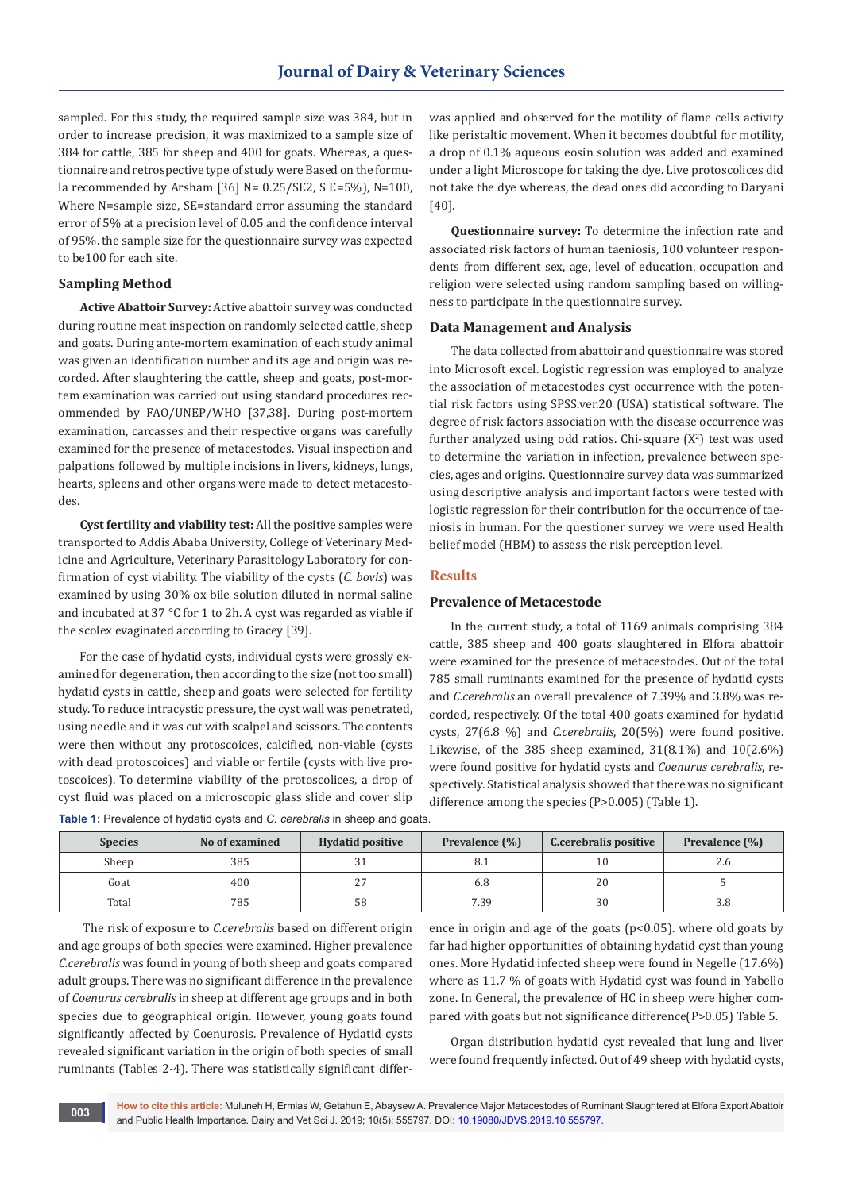sampled. For this study, the required sample size was 384, but in order to increase precision, it was maximized to a sample size of 384 for cattle, 385 for sheep and 400 for goats. Whereas, a questionnaire and retrospective type of study were Based on the formula recommended by Arsham [36] N= 0.25/SE2, S E=5%), N=100, Where N=sample size, SE=standard error assuming the standard error of 5% at a precision level of 0.05 and the confidence interval of 95%. the sample size for the questionnaire survey was expected to be100 for each site.

#### **Sampling Method**

**Active Abattoir Survey:** Active abattoir survey was conducted during routine meat inspection on randomly selected cattle, sheep and goats. During ante-mortem examination of each study animal was given an identification number and its age and origin was recorded. After slaughtering the cattle, sheep and goats, post-mortem examination was carried out using standard procedures recommended by FAO/UNEP/WHO [37,38]. During post-mortem examination, carcasses and their respective organs was carefully examined for the presence of metacestodes. Visual inspection and palpations followed by multiple incisions in livers, kidneys, lungs, hearts, spleens and other organs were made to detect metacestodes.

**Cyst fertility and viability test:** All the positive samples were transported to Addis Ababa University, College of Veterinary Medicine and Agriculture, Veterinary Parasitology Laboratory for confirmation of cyst viability. The viability of the cysts (*C. bovis*) was examined by using 30% ox bile solution diluted in normal saline and incubated at 37 °C for 1 to 2h. A cyst was regarded as viable if the scolex evaginated according to Gracey [39].

For the case of hydatid cysts, individual cysts were grossly examined for degeneration, then according to the size (not too small) hydatid cysts in cattle, sheep and goats were selected for fertility study. To reduce intracystic pressure, the cyst wall was penetrated, using needle and it was cut with scalpel and scissors. The contents were then without any protoscoices, calcified, non-viable (cysts with dead protoscoices) and viable or fertile (cysts with live protoscoices). To determine viability of the protoscolices, a drop of cyst fluid was placed on a microscopic glass slide and cover slip was applied and observed for the motility of flame cells activity like peristaltic movement. When it becomes doubtful for motility, a drop of 0.1% aqueous eosin solution was added and examined under a light Microscope for taking the dye. Live protoscolices did not take the dye whereas, the dead ones did according to Daryani [40].

**Questionnaire survey:** To determine the infection rate and associated risk factors of human taeniosis, 100 volunteer respondents from different sex, age, level of education, occupation and religion were selected using random sampling based on willingness to participate in the questionnaire survey.

#### **Data Management and Analysis**

The data collected from abattoir and questionnaire was stored into Microsoft excel. Logistic regression was employed to analyze the association of metacestodes cyst occurrence with the potential risk factors using SPSS.ver.20 (USA) statistical software. The degree of risk factors association with the disease occurrence was further analyzed using odd ratios. Chi-square  $(X^2)$  test was used to determine the variation in infection, prevalence between species, ages and origins. Questionnaire survey data was summarized using descriptive analysis and important factors were tested with logistic regression for their contribution for the occurrence of taeniosis in human. For the questioner survey we were used Health belief model (HBM) to assess the risk perception level.

#### **Results**

#### **Prevalence of Metacestode**

In the current study, a total of 1169 animals comprising 384 cattle, 385 sheep and 400 goats slaughtered in Elfora abattoir were examined for the presence of metacestodes. Out of the total 785 small ruminants examined for the presence of hydatid cysts and *C.cerebralis* an overall prevalence of 7.39% and 3.8% was recorded, respectively. Of the total 400 goats examined for hydatid cysts, 27(6.8 %) and *C.cerebralis*, 20(5%) were found positive. Likewise, of the 385 sheep examined, 31(8.1%) and 10(2.6%) were found positive for hydatid cysts and *Coenurus cerebralis*, respectively. Statistical analysis showed that there was no significant difference among the species (P>0.005) (Table 1).

| <b>Species</b> | No of examined | <b>Hydatid positive</b> | Prevalence (%) | C.cerebralis positive | Prevalence (%) |
|----------------|----------------|-------------------------|----------------|-----------------------|----------------|
| Sheep          | 385            |                         |                | 10                    | Z.C            |
| Goat           | 400            |                         | 6.8            | 20                    |                |
| Total          | 785            | 58                      | 7.39           | 30                    | 3.8            |

**Table 1:** Prevalence of hydatid cysts and *C. cerebralis* in sheep and goats.

 The risk of exposure to *C.cerebralis* based on different origin and age groups of both species were examined. Higher prevalence *C.cerebralis* was found in young of both sheep and goats compared adult groups. There was no significant difference in the prevalence of *Coenurus cerebralis* in sheep at different age groups and in both species due to geographical origin. However, young goats found significantly affected by Coenurosis. Prevalence of Hydatid cysts revealed significant variation in the origin of both species of small ruminants (Tables 2-4). There was statistically significant difference in origin and age of the goats (p<0.05). where old goats by far had higher opportunities of obtaining hydatid cyst than young ones. More Hydatid infected sheep were found in Negelle (17.6%) where as 11.7 % of goats with Hydatid cyst was found in Yabello zone. In General, the prevalence of HC in sheep were higher compared with goats but not significance difference(P>0.05) Table 5.

Organ distribution hydatid cyst revealed that lung and liver were found frequently infected. Out of 49 sheep with hydatid cysts,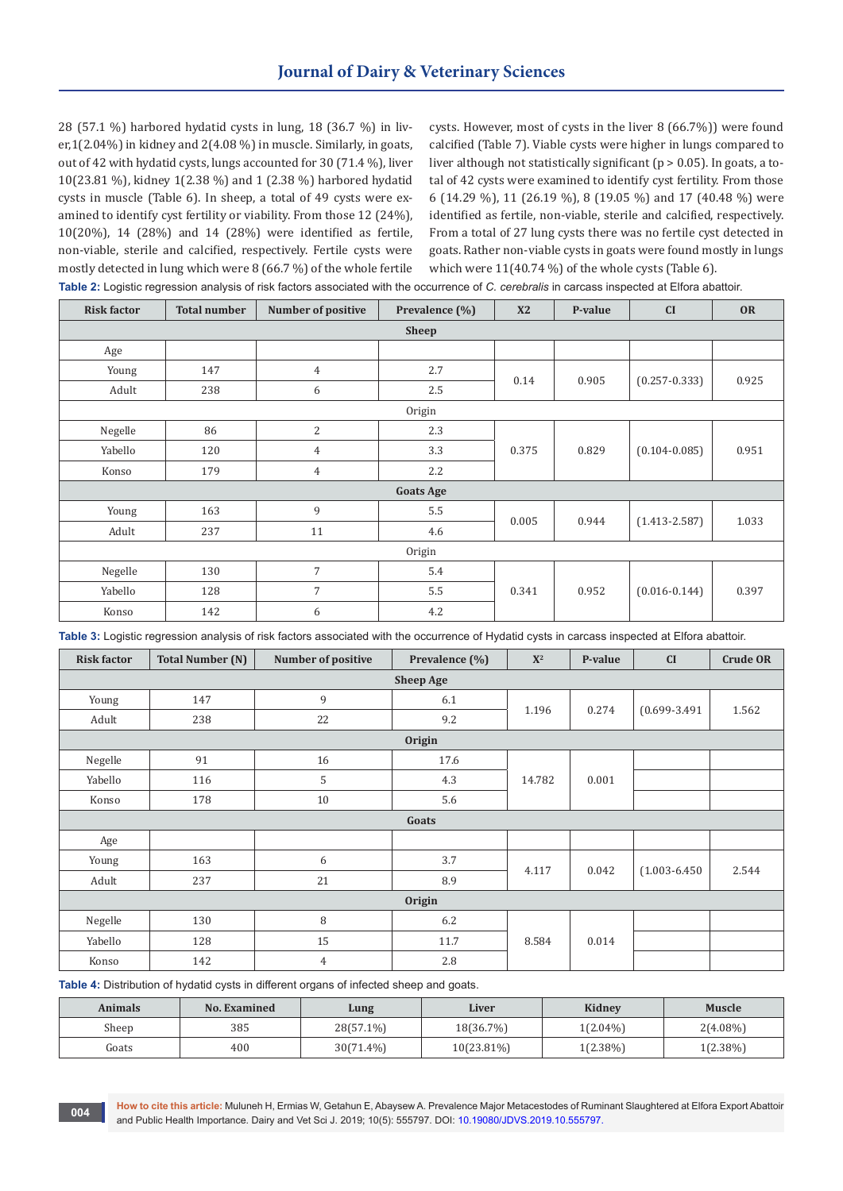28 (57.1 %) harbored hydatid cysts in lung, 18 (36.7 %) in liver,1(2.04%) in kidney and 2(4.08 %) in muscle. Similarly, in goats, out of 42 with hydatid cysts, lungs accounted for 30 (71.4 %), liver 10(23.81 %), kidney 1(2.38 %) and 1 (2.38 %) harbored hydatid cysts in muscle (Table 6). In sheep, a total of 49 cysts were examined to identify cyst fertility or viability. From those 12 (24%), 10(20%), 14 (28%) and 14 (28%) were identified as fertile, non-viable, sterile and calcified, respectively. Fertile cysts were mostly detected in lung which were 8 (66.7 %) of the whole fertile

cysts. However, most of cysts in the liver 8 (66.7%)) were found calcified (Table 7). Viable cysts were higher in lungs compared to liver although not statistically significant (p > 0.05). In goats, a total of 42 cysts were examined to identify cyst fertility. From those 6 (14.29 %), 11 (26.19 %), 8 (19.05 %) and 17 (40.48 %) were identified as fertile, non-viable, sterile and calcified, respectively. From a total of 27 lung cysts there was no fertile cyst detected in goats. Rather non-viable cysts in goats were found mostly in lungs which were 11(40.74 %) of the whole cysts (Table 6).

**Table 2:** Logistic regression analysis of risk factors associated with the occurrence of *C. cerebralis* in carcass inspected at Elfora abattoir.

| <b>Risk factor</b> | <b>Total number</b> | <b>Number of positive</b> | Prevalence (%)   | X2    | P-value | CI                | <b>OR</b> |  |
|--------------------|---------------------|---------------------------|------------------|-------|---------|-------------------|-----------|--|
|                    |                     |                           | <b>Sheep</b>     |       |         |                   |           |  |
| Age                |                     |                           |                  |       |         |                   |           |  |
| Young              | 147                 | $\overline{4}$            | 2.7              | 0.14  | 0.905   |                   | 0.925     |  |
| Adult              | 238                 | 6                         | 2.5              |       |         | $(0.257 - 0.333)$ |           |  |
| Origin             |                     |                           |                  |       |         |                   |           |  |
| Negelle            | 86                  | $\overline{c}$            | 2.3              |       |         |                   |           |  |
| Yabello            | 120                 | 4                         | 3.3              | 0.375 | 0.829   | $(0.104 - 0.085)$ | 0.951     |  |
| Konso              | 179                 | $\overline{4}$            | 2.2              |       |         |                   |           |  |
|                    |                     |                           | <b>Goats Age</b> |       |         |                   |           |  |
| Young              | 163                 | 9                         | 5.5              | 0.005 | 0.944   |                   | 1.033     |  |
| Adult              | 237                 | 11                        | 4.6              |       |         | $(1.413 - 2.587)$ |           |  |
|                    | Origin              |                           |                  |       |         |                   |           |  |
| Negelle            | 130                 | $\overline{7}$            | 5.4              |       |         |                   |           |  |
| Yabello            | 128                 | $\overline{7}$            | 5.5              | 0.341 | 0.952   | $(0.016 - 0.144)$ | 0.397     |  |
| Konso              | 142                 | 6                         | 4.2              |       |         |                   |           |  |

**Table 3:** Logistic regression analysis of risk factors associated with the occurrence of Hydatid cysts in carcass inspected at Elfora abattoir.

| <b>Risk factor</b> | <b>Total Number (N)</b> | Number of positive | Prevalence (%)   | $\mathbf{X}^2$ | P-value | CI                | <b>Crude OR</b> |  |  |  |
|--------------------|-------------------------|--------------------|------------------|----------------|---------|-------------------|-----------------|--|--|--|
|                    |                         |                    | <b>Sheep Age</b> |                |         |                   |                 |  |  |  |
| Young              | 147                     | 9                  | 6.1              | 1.196          | 0.274   |                   | 1.562           |  |  |  |
| Adult              | 238                     | 22                 | 9.2              |                |         | $(0.699 - 3.491)$ |                 |  |  |  |
|                    | Origin                  |                    |                  |                |         |                   |                 |  |  |  |
| Negelle            | 91                      | 16                 | 17.6             |                |         |                   |                 |  |  |  |
| Yabello            | 116                     | 5                  | 4.3              | 14.782         | 0.001   |                   |                 |  |  |  |
| Konso              | 178                     | 10                 | 5.6              |                |         |                   |                 |  |  |  |
|                    |                         |                    | Goats            |                |         |                   |                 |  |  |  |
| Age                |                         |                    |                  |                |         |                   |                 |  |  |  |
| Young              | 163                     | 6                  | 3.7              |                |         |                   | 2.544           |  |  |  |
| Adult              | 237                     | 21                 | 8.9              | 4.117          | 0.042   | $(1.003 - 6.450)$ |                 |  |  |  |
|                    | <b>Origin</b>           |                    |                  |                |         |                   |                 |  |  |  |
| Negelle            | 130                     | 8                  | 6.2              |                |         |                   |                 |  |  |  |
| Yabello            | 128                     | 15                 | 11.7             | 8.584          | 0.014   |                   |                 |  |  |  |
| Konso              | 142                     | 4                  | 2.8              |                |         |                   |                 |  |  |  |

**Table 4:** Distribution of hydatid cysts in different organs of infected sheep and goats.

| Animals | <b>No. Examined</b> | Lung         | Liver      | <b>Kidney</b> | Muscle      |
|---------|---------------------|--------------|------------|---------------|-------------|
| Sheep   | 385                 | 28(57.1%)    | 18(36.7%)  | $1(2.04\%)$   | $2(4.08\%)$ |
| Goats   | 400                 | $30(71.4\%)$ | 10(23.81%) | $1(2.38\%)$   | $1(2.38\%)$ |

**How to cite this article:** Muluneh H, Ermias W, Getahun E, Abaysew A. Prevalence Major Metacestodes of Ruminant Slaughtered at Elfora Export Abattoir and Public Health Importance. Dairy and Vet Sci J. 2019; 10(5): 555797. DOI: [10.19080/JDVS.2019.10.555797.](http://dx.doi.org/10.19080/JDVS.2019.10.555797) **<sup>004</sup>**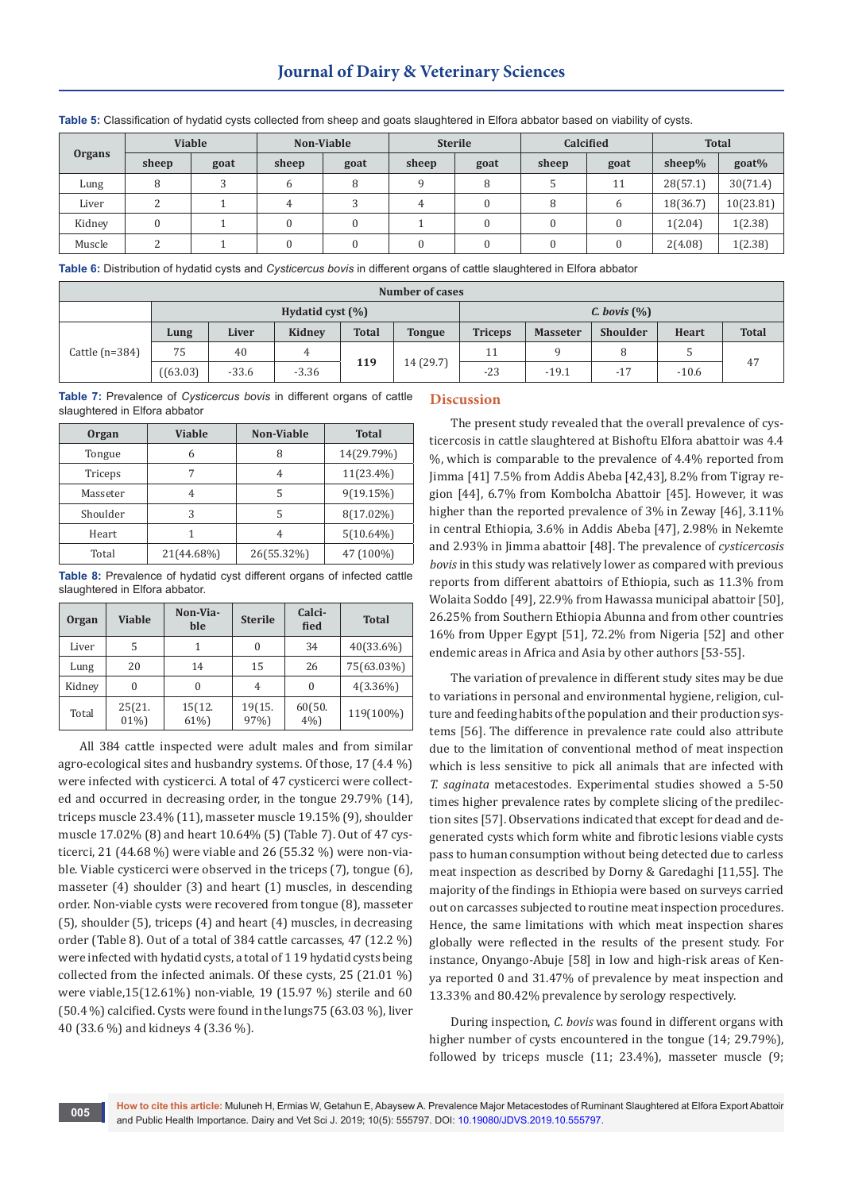## **Journal of Dairy & Veterinary Sciences**

|               |                    | <b>Viable</b> |       | Non-Viable |       | <b>Sterile</b> |       | <b>Calcified</b> |           | <b>Total</b> |  |
|---------------|--------------------|---------------|-------|------------|-------|----------------|-------|------------------|-----------|--------------|--|
| <b>Organs</b> | sheep              | goat          | sheep | goat       | sheep | goat           | sheep | goat             | sheep $%$ | goat%        |  |
| Lung          | 8                  |               | 6     |            |       | 8              |       | 11               | 28(57.1)  | 30(71.4)     |  |
| Liver         | ി<br>∠             |               | 4     |            | 4     | 0              | 8     | 6                | 18(36.7)  | 10(23.81)    |  |
| Kidney        | $\mathbf{0}$       |               |       |            |       | 0              |       |                  | 1(2.04)   | 1(2.38)      |  |
| Muscle        | $\mathcal{D}$<br>∠ |               |       |            |       | 0              |       |                  | 2(4.08)   | 1(2.38)      |  |

**Table 5:** Classification of hydatid cysts collected from sheep and goats slaughtered in Elfora abbator based on viability of cysts.

**Table 6:** Distribution of hydatid cysts and *Cysticercus bovis* in different organs of cattle slaughtered in Elfora abbator

| Number of cases     |          |         |         |                  |               |                |                 |                   |       |              |
|---------------------|----------|---------|---------|------------------|---------------|----------------|-----------------|-------------------|-------|--------------|
| Hydatid cyst $(\%)$ |          |         |         |                  |               |                |                 | $C.$ bovis $(\%)$ |       |              |
|                     | Lung     | Liver   | Kidney  | <b>Total</b>     | <b>Tongue</b> | <b>Triceps</b> | <b>Masseter</b> | Shoulder          | Heart | <b>Total</b> |
| Cattle $(n=384)$    | 75       | 40      |         |                  |               | 11             |                 |                   |       | 47           |
|                     | ((63.03) | $-33.6$ | $-3.36$ | 14 (29.7)<br>119 | $-23$         | $-19.1$        | $-17$           | $-10.6$           |       |              |

**Table 7:** Prevalence of *Cysticercus bovis* in different organs of cattle slaughtered in Elfora abbator

| <b>Organ</b> | Viable     | <b>Non-Viable</b> | <b>Total</b> |
|--------------|------------|-------------------|--------------|
| Tongue       | 6          |                   | 14(29.79%)   |
| Triceps      | 7          | 4                 | $11(23.4\%)$ |
| Masseter     | 4          | 5                 | 9(19.15%)    |
| Shoulder     | 3          | 5                 | 8(17.02%)    |
| Heart        |            | 4                 | $5(10.64\%)$ |
| Total        | 21(44.68%) | 26(55.32%)        | 47 (100%)    |

**Table 8:** Prevalence of hydatid cyst different organs of infected cattle slaughtered in Elfora abbator.

| <b>Organ</b> | <b>Viable</b>    | Non-Via-<br>ble | <b>Sterile</b> | Calci-<br>fied  | <b>Total</b> |
|--------------|------------------|-----------------|----------------|-----------------|--------------|
| Liver        | 5                |                 | 0              | 34              | 40(33.6%)    |
| Lung         | 20               | 14              | 15             | 26              | 75(63.03%)   |
| Kidney       | 0                |                 | 4              | 0               | $4(3.36\%)$  |
| Total        | 25(21.<br>$01\%$ | 15(12.<br>61%)  | 19(15.<br>97%) | 60(50.<br>$4\%$ | 119(100%)    |

All 384 cattle inspected were adult males and from similar agro-ecological sites and husbandry systems. Of those, 17 (4.4 %) were infected with cysticerci. A total of 47 cysticerci were collected and occurred in decreasing order, in the tongue 29.79% (14), triceps muscle 23.4% (11), masseter muscle 19.15% (9), shoulder muscle 17.02% (8) and heart 10.64% (5) (Table 7). Out of 47 cysticerci, 21 (44.68 %) were viable and 26 (55.32 %) were non-viable. Viable cysticerci were observed in the triceps (7), tongue (6), masseter (4) shoulder (3) and heart (1) muscles, in descending order. Non-viable cysts were recovered from tongue (8), masseter (5), shoulder (5), triceps (4) and heart (4) muscles, in decreasing order (Table 8). Out of a total of 384 cattle carcasses, 47 (12.2 %) were infected with hydatid cysts, a total of 1 19 hydatid cysts being collected from the infected animals. Of these cysts, 25 (21.01 %) were viable,15(12.61%) non-viable, 19 (15.97 %) sterile and 60 (50.4 %) calcified. Cysts were found in the lungs75 (63.03 %), liver 40 (33.6 %) and kidneys 4 (3.36 %).

#### **Discussion**

The present study revealed that the overall prevalence of cysticercosis in cattle slaughtered at Bishoftu Elfora abattoir was 4.4 %, which is comparable to the prevalence of 4.4% reported from Jimma [41] 7.5% from Addis Abeba [42,43], 8.2% from Tigray region [44], 6.7% from Kombolcha Abattoir [45]. However, it was higher than the reported prevalence of 3% in Zeway [46], 3.11% in central Ethiopia, 3.6% in Addis Abeba [47], 2.98% in Nekemte and 2.93% in Jimma abattoir [48]. The prevalence of *cysticercosis bovis* in this study was relatively lower as compared with previous reports from different abattoirs of Ethiopia, such as 11.3% from Wolaita Soddo [49], 22.9% from Hawassa municipal abattoir [50], 26.25% from Southern Ethiopia Abunna and from other countries 16% from Upper Egypt [51], 72.2% from Nigeria [52] and other endemic areas in Africa and Asia by other authors [53-55].

The variation of prevalence in different study sites may be due to variations in personal and environmental hygiene, religion, culture and feeding habits of the population and their production systems [56]. The difference in prevalence rate could also attribute due to the limitation of conventional method of meat inspection which is less sensitive to pick all animals that are infected with *T. saginata* metacestodes. Experimental studies showed a 5-50 times higher prevalence rates by complete slicing of the predilection sites [57]. Observations indicated that except for dead and degenerated cysts which form white and fibrotic lesions viable cysts pass to human consumption without being detected due to carless meat inspection as described by Dorny & Garedaghi [11,55]. The majority of the findings in Ethiopia were based on surveys carried out on carcasses subjected to routine meat inspection procedures. Hence, the same limitations with which meat inspection shares globally were reflected in the results of the present study. For instance, Onyango-Abuje [58] in low and high-risk areas of Kenya reported 0 and 31.47% of prevalence by meat inspection and 13.33% and 80.42% prevalence by serology respectively.

During inspection, *C. bovis* was found in different organs with higher number of cysts encountered in the tongue (14; 29.79%), followed by triceps muscle (11; 23.4%), masseter muscle (9;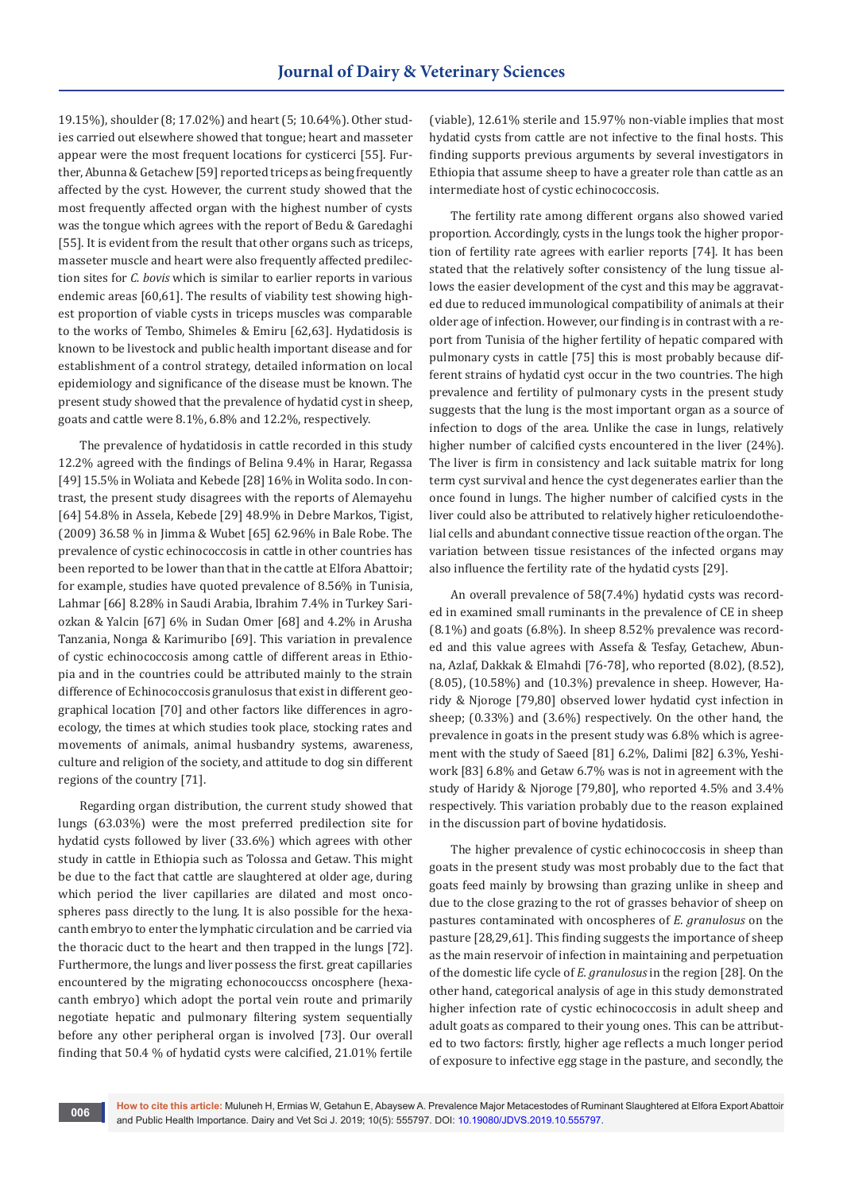19.15%), shoulder (8; 17.02%) and heart (5; 10.64%). Other studies carried out elsewhere showed that tongue; heart and masseter appear were the most frequent locations for cysticerci [55]. Further, Abunna & Getachew [59] reported triceps as being frequently affected by the cyst. However, the current study showed that the most frequently affected organ with the highest number of cysts was the tongue which agrees with the report of Bedu & Garedaghi [55]. It is evident from the result that other organs such as triceps, masseter muscle and heart were also frequently affected predilection sites for *C. bovis* which is similar to earlier reports in various endemic areas [60,61]. The results of viability test showing highest proportion of viable cysts in triceps muscles was comparable to the works of Tembo, Shimeles & Emiru [62,63]. Hydatidosis is known to be livestock and public health important disease and for establishment of a control strategy, detailed information on local epidemiology and significance of the disease must be known. The present study showed that the prevalence of hydatid cyst in sheep, goats and cattle were 8.1%, 6.8% and 12.2%, respectively.

The prevalence of hydatidosis in cattle recorded in this study 12.2% agreed with the findings of Belina 9.4% in Harar, Regassa [49] 15.5% in Woliata and Kebede [28] 16% in Wolita sodo. In contrast, the present study disagrees with the reports of Alemayehu [64] 54.8% in Assela, Kebede [29] 48.9% in Debre Markos, Tigist, (2009) 36.58 % in Jimma & Wubet [65] 62.96% in Bale Robe. The prevalence of cystic echinococcosis in cattle in other countries has been reported to be lower than that in the cattle at Elfora Abattoir; for example, studies have quoted prevalence of 8.56% in Tunisia, Lahmar [66] 8.28% in Saudi Arabia, Ibrahim 7.4% in Turkey Sariozkan & Yalcin [67] 6% in Sudan Omer [68] and 4.2% in Arusha Tanzania, Nonga & Karimuribo [69]. This variation in prevalence of cystic echinococcosis among cattle of different areas in Ethiopia and in the countries could be attributed mainly to the strain difference of Echinococcosis granulosus that exist in different geographical location [70] and other factors like differences in agroecology, the times at which studies took place, stocking rates and movements of animals, animal husbandry systems, awareness, culture and religion of the society, and attitude to dog sin different regions of the country [71].

Regarding organ distribution, the current study showed that lungs (63.03%) were the most preferred predilection site for hydatid cysts followed by liver (33.6%) which agrees with other study in cattle in Ethiopia such as Tolossa and Getaw. This might be due to the fact that cattle are slaughtered at older age, during which period the liver capillaries are dilated and most oncospheres pass directly to the lung. It is also possible for the hexacanth embryo to enter the lymphatic circulation and be carried via the thoracic duct to the heart and then trapped in the lungs [72]. Furthermore, the lungs and liver possess the first. great capillaries encountered by the migrating echonocouccss oncosphere (hexacanth embryo) which adopt the portal vein route and primarily negotiate hepatic and pulmonary filtering system sequentially before any other peripheral organ is involved [73]. Our overall finding that 50.4 % of hydatid cysts were calcified, 21.01% fertile

(viable), 12.61% sterile and 15.97% non-viable implies that most hydatid cysts from cattle are not infective to the final hosts. This finding supports previous arguments by several investigators in Ethiopia that assume sheep to have a greater role than cattle as an intermediate host of cystic echinococcosis.

The fertility rate among different organs also showed varied proportion. Accordingly, cysts in the lungs took the higher proportion of fertility rate agrees with earlier reports [74]. It has been stated that the relatively softer consistency of the lung tissue allows the easier development of the cyst and this may be aggravated due to reduced immunological compatibility of animals at their older age of infection. However, our finding is in contrast with a report from Tunisia of the higher fertility of hepatic compared with pulmonary cysts in cattle [75] this is most probably because different strains of hydatid cyst occur in the two countries. The high prevalence and fertility of pulmonary cysts in the present study suggests that the lung is the most important organ as a source of infection to dogs of the area. Unlike the case in lungs, relatively higher number of calcified cysts encountered in the liver (24%). The liver is firm in consistency and lack suitable matrix for long term cyst survival and hence the cyst degenerates earlier than the once found in lungs. The higher number of calcified cysts in the liver could also be attributed to relatively higher reticuloendothelial cells and abundant connective tissue reaction of the organ. The variation between tissue resistances of the infected organs may also influence the fertility rate of the hydatid cysts [29].

An overall prevalence of 58(7.4%) hydatid cysts was recorded in examined small ruminants in the prevalence of CE in sheep (8.1%) and goats (6.8%). In sheep 8.52% prevalence was recorded and this value agrees with Assefa & Tesfay, Getachew, Abunna, Azlaf, Dakkak & Elmahdi [76-78], who reported (8.02), (8.52), (8.05), (10.58%) and (10.3%) prevalence in sheep. However, Haridy & Njoroge [79,80] observed lower hydatid cyst infection in sheep; (0.33%) and (3.6%) respectively. On the other hand, the prevalence in goats in the present study was 6.8% which is agreement with the study of Saeed [81] 6.2%, Dalimi [82] 6.3%, Yeshiwork [83] 6.8% and Getaw 6.7% was is not in agreement with the study of Haridy & Njoroge [79,80], who reported 4.5% and 3.4% respectively. This variation probably due to the reason explained in the discussion part of bovine hydatidosis.

The higher prevalence of cystic echinococcosis in sheep than goats in the present study was most probably due to the fact that goats feed mainly by browsing than grazing unlike in sheep and due to the close grazing to the rot of grasses behavior of sheep on pastures contaminated with oncospheres of *E. granulosus* on the pasture [28,29,61]. This finding suggests the importance of sheep as the main reservoir of infection in maintaining and perpetuation of the domestic life cycle of *E. granulosus* in the region [28]. On the other hand, categorical analysis of age in this study demonstrated higher infection rate of cystic echinococcosis in adult sheep and adult goats as compared to their young ones. This can be attributed to two factors: firstly, higher age reflects a much longer period of exposure to infective egg stage in the pasture, and secondly, the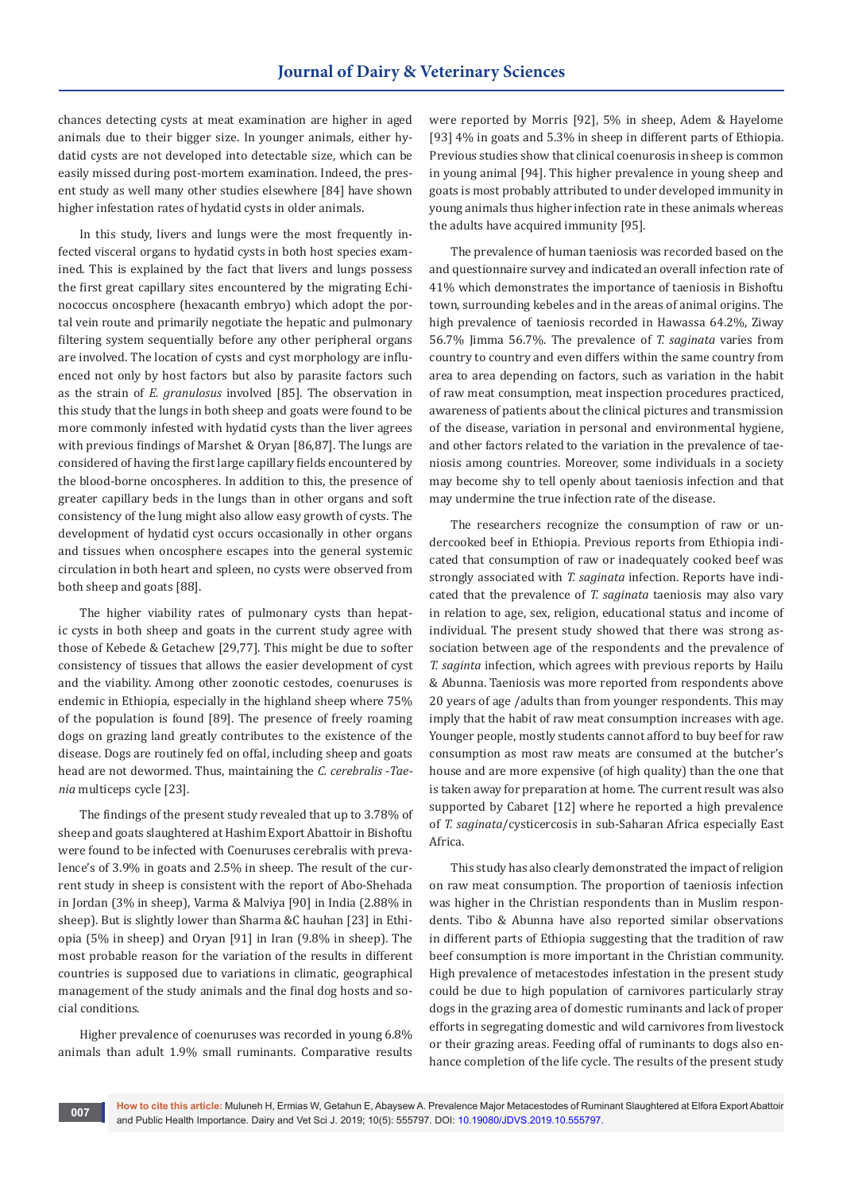chances detecting cysts at meat examination are higher in aged animals due to their bigger size. In younger animals, either hydatid cysts are not developed into detectable size, which can be easily missed during post-mortem examination. Indeed, the present study as well many other studies elsewhere [84] have shown higher infestation rates of hydatid cysts in older animals.

In this study, livers and lungs were the most frequently infected visceral organs to hydatid cysts in both host species examined. This is explained by the fact that livers and lungs possess the first great capillary sites encountered by the migrating Echinococcus oncosphere (hexacanth embryo) which adopt the portal vein route and primarily negotiate the hepatic and pulmonary filtering system sequentially before any other peripheral organs are involved. The location of cysts and cyst morphology are influenced not only by host factors but also by parasite factors such as the strain of *E. granulosus* involved [85]. The observation in this study that the lungs in both sheep and goats were found to be more commonly infested with hydatid cysts than the liver agrees with previous findings of Marshet & Oryan [86,87]. The lungs are considered of having the first large capillary fields encountered by the blood-borne oncospheres. In addition to this, the presence of greater capillary beds in the lungs than in other organs and soft consistency of the lung might also allow easy growth of cysts. The development of hydatid cyst occurs occasionally in other organs and tissues when oncosphere escapes into the general systemic circulation in both heart and spleen, no cysts were observed from both sheep and goats [88].

The higher viability rates of pulmonary cysts than hepatic cysts in both sheep and goats in the current study agree with those of Kebede & Getachew [29,77]. This might be due to softer consistency of tissues that allows the easier development of cyst and the viability. Among other zoonotic cestodes, coenuruses is endemic in Ethiopia, especially in the highland sheep where 75% of the population is found [89]. The presence of freely roaming dogs on grazing land greatly contributes to the existence of the disease. Dogs are routinely fed on offal, including sheep and goats head are not dewormed. Thus, maintaining the *C. cerebralis* -*Taenia* multiceps cycle [23].

The findings of the present study revealed that up to 3.78% of sheep and goats slaughtered at Hashim Export Abattoir in Bishoftu were found to be infected with Coenuruses cerebralis with prevalence's of 3.9% in goats and 2.5% in sheep. The result of the current study in sheep is consistent with the report of Abo-Shehada in Jordan (3% in sheep), Varma & Malviya [90] in India (2.88% in sheep). But is slightly lower than Sharma &C hauhan [23] in Ethiopia (5% in sheep) and Oryan [91] in Iran (9.8% in sheep). The most probable reason for the variation of the results in different countries is supposed due to variations in climatic, geographical management of the study animals and the final dog hosts and social conditions.

Higher prevalence of coenuruses was recorded in young 6.8% animals than adult 1.9% small ruminants. Comparative results were reported by Morris [92], 5% in sheep, Adem & Hayelome [93] 4% in goats and 5.3% in sheep in different parts of Ethiopia. Previous studies show that clinical coenurosis in sheep is common in young animal [94]. This higher prevalence in young sheep and goats is most probably attributed to under developed immunity in young animals thus higher infection rate in these animals whereas the adults have acquired immunity [95].

The prevalence of human taeniosis was recorded based on the and questionnaire survey and indicated an overall infection rate of 41% which demonstrates the importance of taeniosis in Bishoftu town, surrounding kebeles and in the areas of animal origins. The high prevalence of taeniosis recorded in Hawassa 64.2%, Ziway 56.7% Jimma 56.7%. The prevalence of *T. saginata* varies from country to country and even differs within the same country from area to area depending on factors, such as variation in the habit of raw meat consumption, meat inspection procedures practiced, awareness of patients about the clinical pictures and transmission of the disease, variation in personal and environmental hygiene, and other factors related to the variation in the prevalence of taeniosis among countries. Moreover, some individuals in a society may become shy to tell openly about taeniosis infection and that may undermine the true infection rate of the disease.

The researchers recognize the consumption of raw or undercooked beef in Ethiopia. Previous reports from Ethiopia indicated that consumption of raw or inadequately cooked beef was strongly associated with *T. saginata* infection. Reports have indicated that the prevalence of *T. saginata* taeniosis may also vary in relation to age, sex, religion, educational status and income of individual. The present study showed that there was strong association between age of the respondents and the prevalence of *T. saginta* infection, which agrees with previous reports by Hailu & Abunna. Taeniosis was more reported from respondents above 20 years of age /adults than from younger respondents. This may imply that the habit of raw meat consumption increases with age. Younger people, mostly students cannot afford to buy beef for raw consumption as most raw meats are consumed at the butcher's house and are more expensive (of high quality) than the one that is taken away for preparation at home. The current result was also supported by Cabaret [12] where he reported a high prevalence of *T. saginata*/cysticercosis in sub-Saharan Africa especially East Africa.

This study has also clearly demonstrated the impact of religion on raw meat consumption. The proportion of taeniosis infection was higher in the Christian respondents than in Muslim respondents. Tibo & Abunna have also reported similar observations in different parts of Ethiopia suggesting that the tradition of raw beef consumption is more important in the Christian community. High prevalence of metacestodes infestation in the present study could be due to high population of carnivores particularly stray dogs in the grazing area of domestic ruminants and lack of proper efforts in segregating domestic and wild carnivores from livestock or their grazing areas. Feeding offal of ruminants to dogs also enhance completion of the life cycle. The results of the present study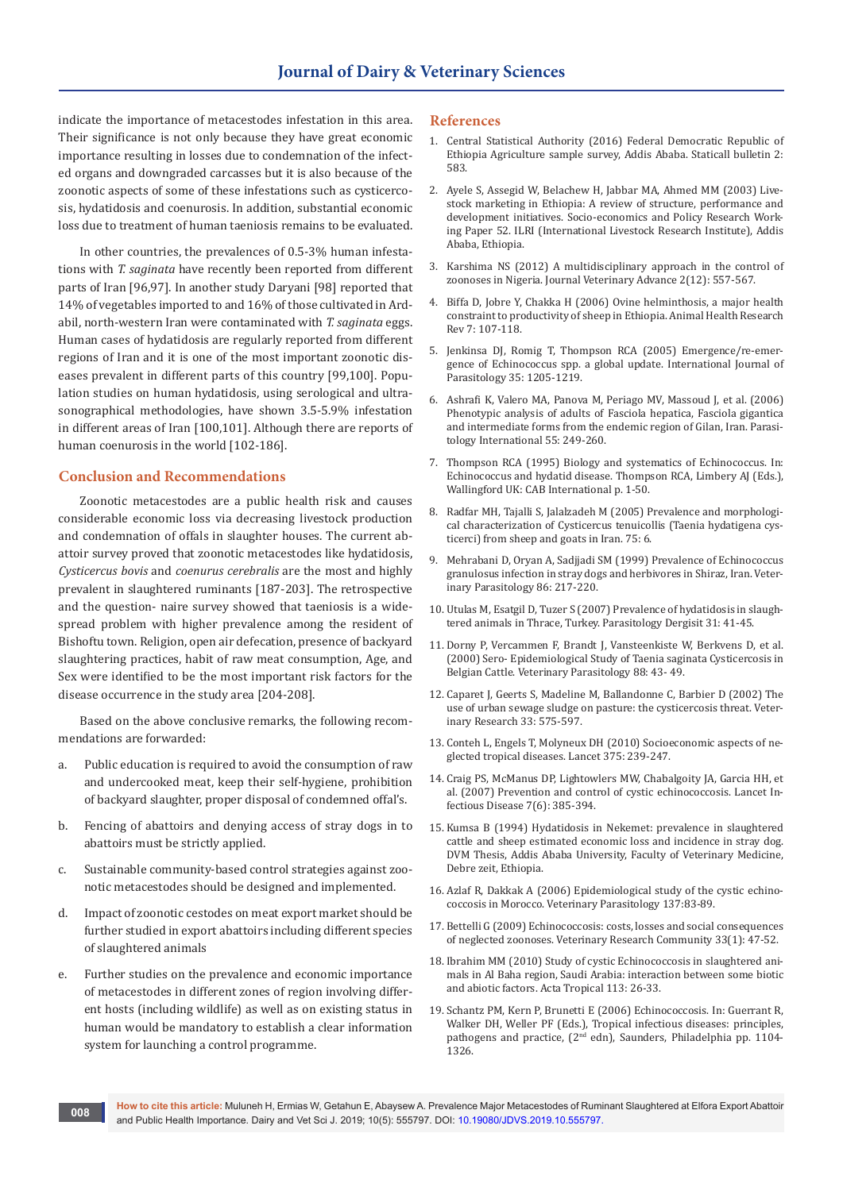indicate the importance of metacestodes infestation in this area. Their significance is not only because they have great economic importance resulting in losses due to condemnation of the infected organs and downgraded carcasses but it is also because of the zoonotic aspects of some of these infestations such as cysticercosis, hydatidosis and coenurosis. In addition, substantial economic loss due to treatment of human taeniosis remains to be evaluated.

In other countries, the prevalences of 0.5-3% human infestations with *T. saginata* have recently been reported from different parts of Iran [96,97]. In another study Daryani [98] reported that 14% of vegetables imported to and 16% of those cultivated in Ardabil, north-western Iran were contaminated with *T. saginata* eggs. Human cases of hydatidosis are regularly reported from different regions of Iran and it is one of the most important zoonotic diseases prevalent in different parts of this country [99,100]. Population studies on human hydatidosis, using serological and ultrasonographical methodologies, have shown 3.5-5.9% infestation in different areas of Iran [100,101]. Although there are reports of human coenurosis in the world [102-186].

#### **Conclusion and Recommendations**

Zoonotic metacestodes are a public health risk and causes considerable economic loss via decreasing livestock production and condemnation of offals in slaughter houses. The current abattoir survey proved that zoonotic metacestodes like hydatidosis, *Cysticercus bovis* and *coenurus cerebralis* are the most and highly prevalent in slaughtered ruminants [187-203]. The retrospective and the question- naire survey showed that taeniosis is a widespread problem with higher prevalence among the resident of Bishoftu town. Religion, open air defecation, presence of backyard slaughtering practices, habit of raw meat consumption, Age, and Sex were identified to be the most important risk factors for the disease occurrence in the study area [204-208].

Based on the above conclusive remarks, the following recommendations are forwarded:

- a. Public education is required to avoid the consumption of raw and undercooked meat, keep their self-hygiene, prohibition of backyard slaughter, proper disposal of condemned offal's.
- b. Fencing of abattoirs and denying access of stray dogs in to abattoirs must be strictly applied.
- c. Sustainable community-based control strategies against zoonotic metacestodes should be designed and implemented.
- d. Impact of zoonotic cestodes on meat export market should be further studied in export abattoirs including different species of slaughtered animals
- e. Further studies on the prevalence and economic importance of metacestodes in different zones of region involving different hosts (including wildlife) as well as on existing status in human would be mandatory to establish a clear information system for launching a control programme.

#### **References**

- 1. Central Statistical Authority (2016) Federal Democratic Republic of Ethiopia Agriculture sample survey, Addis Ababa. Staticall bulletin 2: 583.
- 2. Ayele S, Assegid W, Belachew H, Jabbar MA, Ahmed MM (2003) Livestock marketing in Ethiopia: A review of structure, performance and development initiatives. Socio-economics and Policy Research Working Paper 52. ILRI (International Livestock Research Institute), Addis Ababa, Ethiopia.
- 3. Karshima NS (2012) A multidisciplinary approach in the control of zoonoses in Nigeria. Journal Veterinary Advance 2(12): 557-567.
- 4. [Biffa D, Jobre Y, Chakka H \(2006\) Ovine helminthosis, a major health](https://www.ncbi.nlm.nih.gov/pubmed/17389058)  [constraint to productivity of sheep in Ethiopia. Animal Health Research](https://www.ncbi.nlm.nih.gov/pubmed/17389058)  [Rev 7: 107-118.](https://www.ncbi.nlm.nih.gov/pubmed/17389058)
- 5. [Jenkinsa DJ, Romig T, Thompson RCA \(2005\) Emergence/re-emer](https://www.ncbi.nlm.nih.gov/pubmed/16157340)[gence of Echinococcus spp. a global update. International Journal of](https://www.ncbi.nlm.nih.gov/pubmed/16157340)  [Parasitology 35: 1205-1219.](https://www.ncbi.nlm.nih.gov/pubmed/16157340)
- 6. [Ashrafi K, Valero MA, Panova M, Periago MV, Massoud J, et al. \(2006\)](https://www.ncbi.nlm.nih.gov/pubmed/16901748)  [Phenotypic analysis of adults of Fasciola hepatica, Fasciola gigantica](https://www.ncbi.nlm.nih.gov/pubmed/16901748)  [and intermediate forms from the endemic region of Gilan, Iran. Parasi](https://www.ncbi.nlm.nih.gov/pubmed/16901748)[tology International 55: 249-260.](https://www.ncbi.nlm.nih.gov/pubmed/16901748)
- 7. Thompson RCA (1995) Biology and systematics of Echinococcus. In: Echinococcus and hydatid disease. Thompson RCA, Limbery AJ (Eds.), Wallingford UK: CAB International p. 1-50.
- 8. [Radfar MH, Tajalli S, Jalalzadeh M \(2005\) Prevalence and morphologi](https://hrcak.srce.hr/index.php?show=clanak&id_clanak_jezik=39750)[cal characterization of Cysticercus tenuicollis \(Taenia hydatigena cys](https://hrcak.srce.hr/index.php?show=clanak&id_clanak_jezik=39750)[ticerci\) from sheep and goats in Iran. 75: 6.](https://hrcak.srce.hr/index.php?show=clanak&id_clanak_jezik=39750)
- 9. [Mehrabani D, Oryan A, Sadjjadi SM \(1999\) Prevalence of Echinococcus](https://www.ncbi.nlm.nih.gov/pubmed/10511103)  [granulosus infection in stray dogs and herbivores in Shiraz, Iran. Veter](https://www.ncbi.nlm.nih.gov/pubmed/10511103)[inary Parasitology 86: 217-220.](https://www.ncbi.nlm.nih.gov/pubmed/10511103)
- 10. Utulas M, Esatgil D, Tuzer S (2007) Prevalence of hydatidosis in slaughtered animals in Thrace, Turkey. Parasitology Dergisit 31: 41-45.
- 11. [Dorny P, Vercammen F, Brandt J, Vansteenkiste W, Berkvens D, et al.](https://www.ncbi.nlm.nih.gov/pubmed/10681021)  [\(2000\) Sero- Epidemiological Study of Taenia saginata Cysticercosis in](https://www.ncbi.nlm.nih.gov/pubmed/10681021)  [Belgian Cattle. Veterinary Parasitology 88: 43- 49.](https://www.ncbi.nlm.nih.gov/pubmed/10681021)
- 12. [Caparet J, Geerts S, Madeline M, Ballandonne C, Barbier D \(2002\) The](https://www.ncbi.nlm.nih.gov/pubmed/12387491)  [use of urban sewage sludge on pasture: the cysticercosis threat. Veter](https://www.ncbi.nlm.nih.gov/pubmed/12387491)[inary Research 33: 575-597.](https://www.ncbi.nlm.nih.gov/pubmed/12387491)
- 13. [Conteh L, Engels T, Molyneux DH \(2010\) Socioeconomic aspects of ne](https://www.ncbi.nlm.nih.gov/pubmed/20109925)[glected tropical diseases. Lancet 375: 239-247.](https://www.ncbi.nlm.nih.gov/pubmed/20109925)
- 14. [Craig PS, McManus DP, Lightowlers MW, Chabalgoity JA, Garcia HH, et](https://www.ncbi.nlm.nih.gov/pubmed/17521591)  [al. \(2007\) Prevention and control of cystic echinococcosis. Lancet In](https://www.ncbi.nlm.nih.gov/pubmed/17521591)[fectious Disease 7\(6\): 385-394.](https://www.ncbi.nlm.nih.gov/pubmed/17521591)
- 15. Kumsa B (1994) Hydatidosis in Nekemet: prevalence in slaughtered cattle and sheep estimated economic loss and incidence in stray dog. DVM Thesis, Addis Ababa University, Faculty of Veterinary Medicine, Debre zeit, Ethiopia.
- 16. Azlaf R, Dakkak A (2006) Epidemiological study of the cystic echinococcosis in Morocco. Veterinary Parasitology 137:83-89.
- 17. [Bettelli G \(2009\) Echinococcosis: costs, losses and social consequences](https://www.ncbi.nlm.nih.gov/pubmed/19575305)  [of neglected zoonoses. Veterinary Research Community 33\(1\): 47-52.](https://www.ncbi.nlm.nih.gov/pubmed/19575305)
- 18. [Ibrahim MM \(2010\) Study of cystic Echinococcosis in slaughtered ani](https://www.ncbi.nlm.nih.gov/pubmed/19744464)[mals in Al Baha region, Saudi Arabia: interaction between some biotic](https://www.ncbi.nlm.nih.gov/pubmed/19744464)  [and abiotic factors. Acta Tropical 113: 26-33.](https://www.ncbi.nlm.nih.gov/pubmed/19744464)
- 19. Schantz PM, Kern P, Brunetti E (2006) Echinococcosis. In: Guerrant R, Walker DH, Weller PF (Eds.), Tropical infectious diseases: principles, pathogens and practice, (2<sup>nd</sup> edn), Saunders, Philadelphia pp. 1104-1326.

**How to cite this article:** Muluneh H, Ermias W, Getahun E, Abaysew A. Prevalence Major Metacestodes of Ruminant Slaughtered at Elfora Export Abattoir and Public Health Importance. Dairy and Vet Sci J. 2019; 10(5): 555797. DOI: [10.19080/JDVS.2019.10.555797.](http://dx.doi.org/10.19080/JDVS.2019.10.555797) **<sup>008</sup>**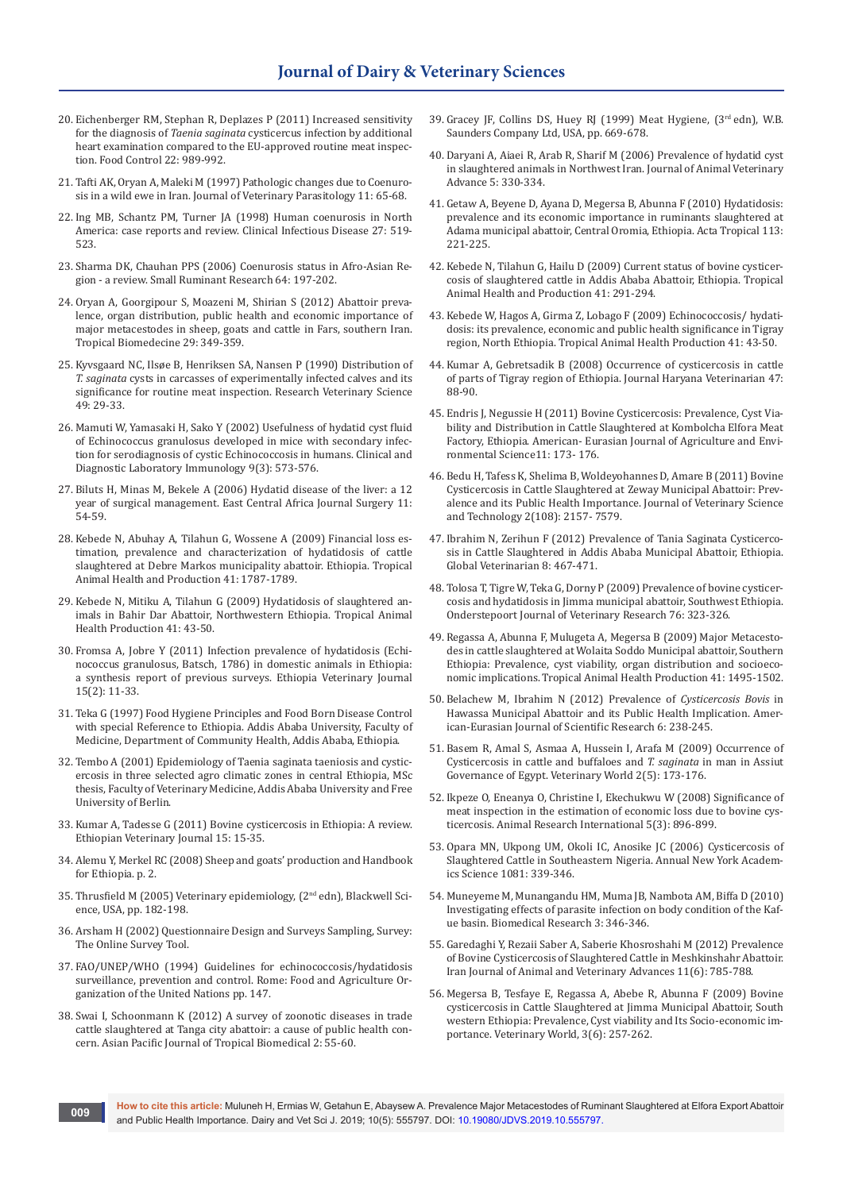- 20. Eichenberger RM, Stephan R, Deplazes P (2011) Increased sensitivity for the diagnosis of *Taenia saginata* cysticercus infection by additional heart examination compared to the EU-approved routine meat inspection. Food Control 22: 989-992.
- 21. Tafti AK, Oryan A, Maleki M (1997) Pathologic changes due to Coenurosis in a wild ewe in Iran. Journal of Veterinary Parasitology 11: 65-68.
- 22. [Ing MB, Schantz PM, Turner JA \(1998\) Human coenurosis in North](https://www.ncbi.nlm.nih.gov/pubmed/9770151)  [America: case reports and review. Clinical Infectious Disease 27: 519-](https://www.ncbi.nlm.nih.gov/pubmed/9770151) [523.](https://www.ncbi.nlm.nih.gov/pubmed/9770151)
- 23. [Sharma DK, Chauhan PPS \(2006\) Coenurosis status in Afro-Asian Re](https://www.sciencedirect.com/science/article/pii/S0921448805001963)[gion - a review. Small Ruminant Research 64: 197-202.](https://www.sciencedirect.com/science/article/pii/S0921448805001963)
- 24. [Oryan A, Goorgipour S, Moazeni M, Shirian S \(2012\) Abattoir preva](https://www.ncbi.nlm.nih.gov/pubmed/23018497)[lence, organ distribution, public health and economic importance of](https://www.ncbi.nlm.nih.gov/pubmed/23018497)  [major metacestodes in sheep, goats and cattle in Fars, southern Iran.](https://www.ncbi.nlm.nih.gov/pubmed/23018497)  [Tropical Biomedecine 29: 349-359.](https://www.ncbi.nlm.nih.gov/pubmed/23018497)
- 25. [Kyvsgaard NC, Ilsøe B, Henriksen SA, Nansen P \(1990\) Distribution of](https://www.ncbi.nlm.nih.gov/pubmed/2382052)  *T. saginata* [cysts in carcasses of experimentally infected calves and its](https://www.ncbi.nlm.nih.gov/pubmed/2382052)  [significance for routine meat inspection. Research Veterinary Science](https://www.ncbi.nlm.nih.gov/pubmed/2382052)  [49: 29-33.](https://www.ncbi.nlm.nih.gov/pubmed/2382052)
- 26. [Mamuti W, Yamasaki H, Sako Y \(2002\) Usefulness of hydatid cyst fluid](https://www.ncbi.nlm.nih.gov/pubmed/11986262)  [of Echinococcus granulosus developed in mice with secondary infec](https://www.ncbi.nlm.nih.gov/pubmed/11986262)[tion for serodiagnosis of cystic Echinococcosis in humans. Clinical and](https://www.ncbi.nlm.nih.gov/pubmed/11986262)  [Diagnostic Laboratory Immunology 9\(3\): 573-576.](https://www.ncbi.nlm.nih.gov/pubmed/11986262)
- 27. Biluts H, Minas M, Bekele A (2006) Hydatid disease of the liver: a 12 year of surgical management. East Central Africa Journal Surgery 11: 54-59.
- 28. [Kebede N, Abuhay A, Tilahun G, Wossene A \(2009\) Financial loss es](https://www.ncbi.nlm.nih.gov/pubmed/19396563)[timation, prevalence and characterization of hydatidosis of cattle](https://www.ncbi.nlm.nih.gov/pubmed/19396563)  [slaughtered at Debre Markos municipality abattoir. Ethiopia. Tropical](https://www.ncbi.nlm.nih.gov/pubmed/19396563)  [Animal Health and Production 41: 1787-1789.](https://www.ncbi.nlm.nih.gov/pubmed/19396563)
- 29. [Kebede N, Mitiku A, Tilahun G \(2009\) Hydatidosis of slaughtered an](https://www.ncbi.nlm.nih.gov/pubmed/19052901)[imals in Bahir Dar Abattoir, Northwestern Ethiopia. Tropical Animal](https://www.ncbi.nlm.nih.gov/pubmed/19052901)  [Health Production 41: 43-50.](https://www.ncbi.nlm.nih.gov/pubmed/19052901)
- 30. [Fromsa A, Jobre Y \(2011\) Infection prevalence of hydatidosis \(Echi](https://www.ajol.info/index.php/evj/article/view/67691)[nococcus granulosus, Batsch, 1786\) in domestic animals in Ethiopia:](https://www.ajol.info/index.php/evj/article/view/67691)  [a synthesis report of previous surveys. Ethiopia Veterinary Journal](https://www.ajol.info/index.php/evj/article/view/67691)  [15\(2\): 11-33.](https://www.ajol.info/index.php/evj/article/view/67691)
- 31. Teka G (1997) Food Hygiene Principles and Food Born Disease Control with special Reference to Ethiopia. Addis Ababa University, Faculty of Medicine, Department of Community Health, Addis Ababa, Ethiopia.
- 32. Tembo A (2001) Epidemiology of Taenia saginata taeniosis and cysticercosis in three selected agro climatic zones in central Ethiopia, MSc thesis, Faculty of Veterinary Medicine, Addis Ababa University and Free University of Berlin.
- 33. Kumar A, Tadesse G (2011) Bovine cysticercosis in Ethiopia: A review. Ethiopian Veterinary Journal 15: 15-35.
- 34. Alemu Y, Merkel RC (2008) Sheep and goats' production and Handbook for Ethiopia. p. 2.
- 35. Thrusfield M (2005) Veterinary epidemiology, (2nd edn), Blackwell Science, USA, pp. 182-198.
- 36. Arsham H (2002) Questionnaire Design and Surveys Sampling, Survey: The Online Survey Tool.
- 37. FAO/UNEP/WHO (1994) Guidelines for echinococcosis/hydatidosis surveillance, prevention and control. Rome: Food and Agriculture Organization of the United Nations pp. 147.
- 38. [Swai I, Schoonmann K \(2012\) A survey of zoonotic diseases in trade](https://www.sciencedirect.com/science/article/pii/S2221169111601901)  [cattle slaughtered at Tanga city abattoir: a cause of public health con](https://www.sciencedirect.com/science/article/pii/S2221169111601901)[cern. Asian Pacific Journal of Tropical Biomedical 2: 55-60.](https://www.sciencedirect.com/science/article/pii/S2221169111601901)
- 39. Gracey JF, Collins DS, Huey RJ (1999) Meat Hygiene, (3rd edn), W.B. Saunders Company Ltd, USA, pp. 669-678.
- 40. Daryani A, Aiaei R, Arab R, Sharif M (2006) Prevalence of hydatid cyst in slaughtered animals in Northwest Iran. Journal of Animal Veterinary Advance 5: 330-334.
- 41. [Getaw A, Beyene D, Ayana D, Megersa B, Abunna F \(2010\) Hydatidosis:](https://www.ncbi.nlm.nih.gov/pubmed/19883622)  [prevalence and its economic importance in ruminants slaughtered at](https://www.ncbi.nlm.nih.gov/pubmed/19883622)  [Adama municipal abattoir, Central Oromia, Ethiopia. Acta Tropical 113:](https://www.ncbi.nlm.nih.gov/pubmed/19883622)  [221-225.](https://www.ncbi.nlm.nih.gov/pubmed/19883622)
- 42. [Kebede N, Tilahun G, Hailu D \(2009\) Current status of bovine cysticer](https://www.ncbi.nlm.nih.gov/pubmed/18551380)[cosis of slaughtered cattle in Addis Ababa Abattoir, Ethiopia. Tropical](https://www.ncbi.nlm.nih.gov/pubmed/18551380)  [Animal Health and Production 41: 291-294.](https://www.ncbi.nlm.nih.gov/pubmed/18551380)
- 43. Kebede W, Hagos A, Girma Z, Lobago F (2009) Echinococcosis/ hydatidosis: its prevalence, economic and public health significance in Tigray region, North Ethiopia. Tropical Animal Health Production 41: 43-50.
- 44. [Kumar A, Gebretsadik B \(2008\) Occurrence of cysticercosis in cattle](https://www.cabdirect.org/cabdirect/abstract/20093217006)  [of parts of Tigray region of Ethiopia. Journal Haryana Veterinarian 47:](https://www.cabdirect.org/cabdirect/abstract/20093217006)  [88-90.](https://www.cabdirect.org/cabdirect/abstract/20093217006)
- 45. Endris J, Negussie H (2011) Bovine Cysticercosis: Prevalence, Cyst Viability and Distribution in Cattle Slaughtered at Kombolcha Elfora Meat Factory, Ethiopia. American- Eurasian Journal of Agriculture and Environmental Science11: 173- 176.
- 46. Bedu H, Tafess K, Shelima B, Woldeyohannes D, Amare B (2011) Bovine Cysticercosis in Cattle Slaughtered at Zeway Municipal Abattoir: Prevalence and its Public Health Importance. Journal of Veterinary Science and Technology 2(108): 2157- 7579.
- 47. Ibrahim N, Zerihun F (2012) Prevalence of Tania Saginata Cysticercosis in Cattle Slaughtered in Addis Ababa Municipal Abattoir, Ethiopia. Global Veterinarian 8: 467-471.
- 48. [Tolosa T, Tigre W, Teka G, Dorny P \(2009\) Prevalence of bovine cysticer](https://www.ncbi.nlm.nih.gov/pubmed/21105600)[cosis and hydatidosis in Jimma municipal abattoir, Southwest Ethiopia.](https://www.ncbi.nlm.nih.gov/pubmed/21105600)  [Onderstepoort Journal of Veterinary Research 76: 323-326.](https://www.ncbi.nlm.nih.gov/pubmed/21105600)
- 49. [Regassa A, Abunna F, Mulugeta A, Megersa B \(2009\) Major Metacesto](https://www.ncbi.nlm.nih.gov/pubmed/19353302)[des in cattle slaughtered at Wolaita Soddo Municipal abattoir, Southern](https://www.ncbi.nlm.nih.gov/pubmed/19353302)  [Ethiopia: Prevalence, cyst viability, organ distribution and socioeco](https://www.ncbi.nlm.nih.gov/pubmed/19353302)[nomic implications. Tropical Animal Health Production 41: 1495-1502.](https://www.ncbi.nlm.nih.gov/pubmed/19353302)
- 50. Belachew M, Ibrahim N (2012) Prevalence of *Cysticercosis Bovis* in Hawassa Municipal Abattoir and its Public Health Implication. American-Eurasian Journal of Scientific Research 6: 238-245.
- 51. Basem R, Amal S, Asmaa A, Hussein I, Arafa M (2009) Occurrence of Cysticercosis in cattle and buffaloes and *T. saginata* in man in Assiut Governance of Egypt. Veterinary World 2(5): 173-176.
- 52. Ikpeze O, Eneanya O, Christine I, Ekechukwu W (2008) Significance of meat inspection in the estimation of economic loss due to bovine cysticercosis. Animal Research International 5(3): 896-899.
- 53. [Opara MN, Ukpong UM, Okoli IC, Anosike JC \(2006\) Cysticercosis of](https://www.ncbi.nlm.nih.gov/pubmed/17135536)  [Slaughtered Cattle in Southeastern Nigeria. Annual New York Academ](https://www.ncbi.nlm.nih.gov/pubmed/17135536)[ics Science 1081: 339-346.](https://www.ncbi.nlm.nih.gov/pubmed/17135536)
- 54. [Muneyeme M, Munangandu HM, Muma JB, Nambota AM, Biffa D \(2010\)](https://www.ncbi.nlm.nih.gov/pubmed/21182793)  [Investigating effects of parasite infection on body condition of the Kaf](https://www.ncbi.nlm.nih.gov/pubmed/21182793)[ue basin. Biomedical Research 3: 346-346.](https://www.ncbi.nlm.nih.gov/pubmed/21182793)
- 55. Garedaghi Y, Rezaii Saber A, Saberie Khosroshahi M (2012) Prevalence of Bovine Cysticercosis of Slaughtered Cattle in Meshkinshahr Abattoir. Iran Journal of Animal and Veterinary Advances 11(6): 785-788.
- 56. Megersa B, Tesfaye E, Regassa A, Abebe R, Abunna F (2009) Bovine cysticercosis in Cattle Slaughtered at Jimma Municipal Abattoir, South western Ethiopia: Prevalence, Cyst viability and Its Socio-economic importance. Veterinary World, 3(6): 257-262.

**How to cite this article:** Muluneh H, Ermias W, Getahun E, Abaysew A. Prevalence Major Metacestodes of Ruminant Slaughtered at Elfora Export Abattoir and Public Health Importance. Dairy and Vet Sci J. 2019; 10(5): 555797. DOI: [10.19080/JDVS.2019.10.555797.](http://dx.doi.org/10.19080/JDVS.2019.10.555797) **<sup>009</sup>**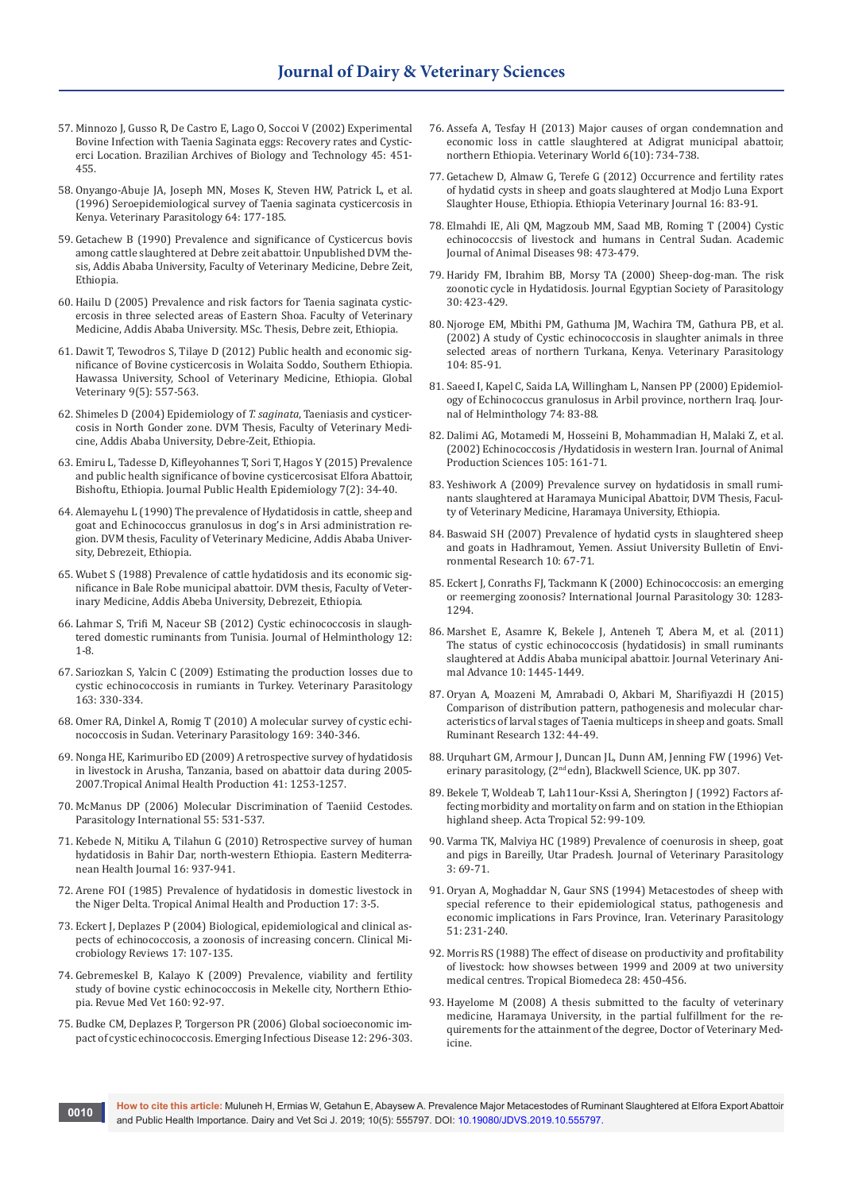- 57. [Minnozo J, Gusso R, De Castro E, Lago O, Soccoi V \(2002\) Experimental](http://www.scielo.br/scielo.php?script=sci_arttext&pid=S1516-89132002000600008)  [Bovine Infection with Taenia Saginata eggs: Recovery rates and Cystic](http://www.scielo.br/scielo.php?script=sci_arttext&pid=S1516-89132002000600008)[erci Location. Brazilian Archives of Biology and Technology 45: 451-](http://www.scielo.br/scielo.php?script=sci_arttext&pid=S1516-89132002000600008) [455.](http://www.scielo.br/scielo.php?script=sci_arttext&pid=S1516-89132002000600008)
- 58. [Onyango-Abuje JA, Joseph MN, Moses K, Steven HW, Patrick L, et al.](https://www.ncbi.nlm.nih.gov/pubmed/8888551)  [\(1996\) Seroepidemiological survey of Taenia saginata cysticercosis in](https://www.ncbi.nlm.nih.gov/pubmed/8888551)  [Kenya. Veterinary Parasitology 64: 177-185.](https://www.ncbi.nlm.nih.gov/pubmed/8888551)
- 59. Getachew B (1990) Prevalence and significance of Cysticercus bovis among cattle slaughtered at Debre zeit abattoir. Unpublished DVM thesis, Addis Ababa University, Faculty of Veterinary Medicine, Debre Zeit, Ethiopia.
- 60. Hailu D (2005) Prevalence and risk factors for Taenia saginata cysticercosis in three selected areas of Eastern Shoa. Faculty of Veterinary Medicine, Addis Ababa University. MSc. Thesis, Debre zeit, Ethiopia.
- 61. Dawit T, Tewodros S, Tilaye D (2012) Public health and economic significance of Bovine cysticercosis in Wolaita Soddo, Southern Ethiopia. Hawassa University, School of Veterinary Medicine, Ethiopia. Global Veterinary 9(5): 557-563.
- 62. Shimeles D (2004) Epidemiology of *T. saginata*, Taeniasis and cysticercosis in North Gonder zone. DVM Thesis, Faculty of Veterinary Medicine, Addis Ababa University, Debre-Zeit, Ethiopia.
- 63. Emiru L, Tadesse D, Kifleyohannes T, Sori T, Hagos Y (2015) Prevalence and public health significance of bovine cysticercosisat Elfora Abattoir, Bishoftu, Ethiopia. Journal Public Health Epidemiology 7(2): 34-40.
- 64. Alemayehu L (1990) The prevalence of Hydatidosis in cattle, sheep and goat and Echinococcus granulosus in dog's in Arsi administration region. DVM thesis, Faculity of Veterinary Medicine, Addis Ababa University, Debrezeit, Ethiopia.
- 65. Wubet S (1988) Prevalence of cattle hydatidosis and its economic significance in Bale Robe municipal abattoir. DVM thesis, Faculty of Veterinary Medicine, Addis Abeba University, Debrezeit, Ethiopia.
- 66. Lahmar S, Trifi M, Naceur SB (2012) Cystic echinococcosis in slaughtered domestic ruminants from Tunisia. Journal of Helminthology 12: 1-8.
- 67. [Sariozkan S, Yalcin C \(2009\) Estimating the production losses due to](https://www.sciencedirect.com/science/article/pii/S030440170900274X)  [cystic echinococcosis in rumiants in Turkey. Veterinary Parasitology](https://www.sciencedirect.com/science/article/pii/S030440170900274X)  [163: 330-334.](https://www.sciencedirect.com/science/article/pii/S030440170900274X)
- 68. [Omer RA, Dinkel A, Romig T \(2010\) A molecular survey of cystic echi](https://www.ncbi.nlm.nih.gov/pubmed/20138433)[nococcosis in Sudan. Veterinary Parasitology 169: 340-346.](https://www.ncbi.nlm.nih.gov/pubmed/20138433)
- 69. [Nonga HE, Karimuribo ED \(2009\) A retrospective survey of hydatidosis](https://www.ncbi.nlm.nih.gov/pubmed/19184507)  [in livestock in Arusha, Tanzania, based on abattoir data during 2005-](https://www.ncbi.nlm.nih.gov/pubmed/19184507)  [2007.Tropical Animal Health Production 41: 1253-1257.](https://www.ncbi.nlm.nih.gov/pubmed/19184507)
- 70. [McManus DP \(2006\) Molecular Discrimination of Taeniid Cestodes.](https://www.ncbi.nlm.nih.gov/pubmed/16337179)  [Parasitology International 55: 531-537.](https://www.ncbi.nlm.nih.gov/pubmed/16337179)
- 71. [Kebede N, Mitiku A, Tilahun G \(2010\) Retrospective survey of human](https://www.ncbi.nlm.nih.gov/pubmed/21218719)  [hydatidosis in Bahir Dar, north-western Ethiopia. Eastern Mediterra](https://www.ncbi.nlm.nih.gov/pubmed/21218719)[nean Health Journal 16: 937-941.](https://www.ncbi.nlm.nih.gov/pubmed/21218719)
- 72. [Arene FOI \(1985\) Prevalence of hydatidosis in domestic livestock in](https://www.ncbi.nlm.nih.gov/pubmed/3992669)  [the Niger Delta. Tropical Animal Health and Production 17: 3-5.](https://www.ncbi.nlm.nih.gov/pubmed/3992669)
- 73. [Eckert J, Deplazes P \(2004\) Biological, epidemiological and clinical as](https://www.ncbi.nlm.nih.gov/pubmed/14726458)[pects of echinococcosis, a zoonosis of increasing concern. Clinical Mi](https://www.ncbi.nlm.nih.gov/pubmed/14726458)[crobiology Reviews 17: 107-135.](https://www.ncbi.nlm.nih.gov/pubmed/14726458)
- 74. Gebremeskel B, Kalayo K (2009) Prevalence, viability and fertility study of bovine cystic echinococcosis in Mekelle city, Northern Ethiopia. Revue Med Vet 160: 92-97.
- 75. [Budke CM, Deplazes P, Torgerson PR \(2006\) Global socioeconomic im](https://www.ncbi.nlm.nih.gov/pubmed/16494758)[pact of cystic echinococcosis. Emerging Infectious Disease 12: 296-303.](https://www.ncbi.nlm.nih.gov/pubmed/16494758)
- 76. Assefa A, Tesfay H (2013) Major causes of organ condemnation and economic loss in cattle slaughtered at Adigrat municipal abattoir, northern Ethiopia. Veterinary World 6(10): 734-738.
- 77. [Getachew D, Almaw G, Terefe G \(2012\) Occurrence and fertility rates](https://www.ajol.info/index.php/evj/article/view/78526)  [of hydatid cysts in sheep and goats slaughtered at Modjo Luna Export](https://www.ajol.info/index.php/evj/article/view/78526)  [Slaughter House, Ethiopia. Ethiopia Veterinary Journal 16: 83-91.](https://www.ajol.info/index.php/evj/article/view/78526)
- 78. [Elmahdi IE, Ali QM, Magzoub MM, Saad MB, Roming T \(2004\) Cystic](https://www.ncbi.nlm.nih.gov/pubmed/15257797)  [echinococcsis of livestock and humans in Central Sudan. Academic](https://www.ncbi.nlm.nih.gov/pubmed/15257797)  [Journal of Animal Diseases 98: 473-479.](https://www.ncbi.nlm.nih.gov/pubmed/15257797)
- 79. [Haridy FM, Ibrahim BB, Morsy TA \(2000\) Sheep-dog-man. The risk](https://www.ncbi.nlm.nih.gov/pubmed/10946504)  [zoonotic cycle in Hydatidosis. Journal Egyptian Society of Parasitology](https://www.ncbi.nlm.nih.gov/pubmed/10946504)  [30: 423-429.](https://www.ncbi.nlm.nih.gov/pubmed/10946504)
- 80. [Njoroge EM, Mbithi PM, Gathuma JM, Wachira TM, Gathura PB, et al.](https://www.ncbi.nlm.nih.gov/pubmed/11779657)  [\(2002\) A study of Cystic echinococcosis in slaughter animals in three](https://www.ncbi.nlm.nih.gov/pubmed/11779657)  [selected areas of northern Turkana, Kenya. Veterinary Parasitology](https://www.ncbi.nlm.nih.gov/pubmed/11779657)  [104: 85-91.](https://www.ncbi.nlm.nih.gov/pubmed/11779657)
- 81. [Saeed I, Kapel C, Saida LA, Willingham L, Nansen PP \(2000\) Epidemiol](https://www.ncbi.nlm.nih.gov/pubmed/10831057)[ogy of Echinococcus granulosus in Arbil province, northern Iraq. Jour](https://www.ncbi.nlm.nih.gov/pubmed/10831057)[nal of Helminthology 74: 83-88.](https://www.ncbi.nlm.nih.gov/pubmed/10831057)
- 82. [Dalimi AG, Motamedi M, Hosseini B, Mohammadian H, Malaki Z, et al.](https://www.ncbi.nlm.nih.gov/pubmed/11900930)  [\(2002\) Echinococcosis /Hydatidosis in western Iran. Journal of Animal](https://www.ncbi.nlm.nih.gov/pubmed/11900930)  [Production Sciences 105: 161-71.](https://www.ncbi.nlm.nih.gov/pubmed/11900930)
- 83. Yeshiwork A (2009) Prevalence survey on hydatidosis in small ruminants slaughtered at Haramaya Municipal Abattoir, DVM Thesis, Faculty of Veterinary Medicine, Haramaya University, Ethiopia.
- 84. Baswaid SH (2007) Prevalence of hydatid cysts in slaughtered sheep and goats in Hadhramout, Yemen. Assiut University Bulletin of Environmental Research 10: 67-71.
- 85. [Eckert J, Conraths FJ, Tackmann K \(2000\) Echinococcosis: an emerging](https://www.ncbi.nlm.nih.gov/pubmed/11113255)  [or reemerging zoonosis? International Journal Parasitology 30: 1283-](https://www.ncbi.nlm.nih.gov/pubmed/11113255) [1294.](https://www.ncbi.nlm.nih.gov/pubmed/11113255)
- 86. Marshet E, Asamre K, Bekele J, Anteneh T, Abera M, et al. (2011) The status of cystic echinococcosis (hydatidosis) in small ruminants slaughtered at Addis Ababa municipal abattoir. Journal Veterinary Animal Advance 10: 1445-1449.
- 87. [Oryan A, Moazeni M, Amrabadi O, Akbari M, Sharifiyazdi H \(2015\)](https://www.sciencedirect.com/science/article/pii/S0921448815300791)  [Comparison of distribution pattern, pathogenesis and molecular char](https://www.sciencedirect.com/science/article/pii/S0921448815300791)[acteristics of larval stages of Taenia multiceps in sheep and goats. Small](https://www.sciencedirect.com/science/article/pii/S0921448815300791)  [Ruminant Research 132: 44-49.](https://www.sciencedirect.com/science/article/pii/S0921448815300791)
- 88. Urquhart GM, Armour J, Duncan JL, Dunn AM, Jenning FW (1996) Veterinary parasitology, (2nd edn), Blackwell Science, UK. pp 307.
- 89. [Bekele T, Woldeab T, Lah11our-Kssi A, Sherington J \(1992\) Factors af](https://www.ncbi.nlm.nih.gov/pubmed/1363186)[fecting morbidity and mortality on farm and on station in the Ethiopian](https://www.ncbi.nlm.nih.gov/pubmed/1363186)  [highland sheep. Acta Tropical 52: 99-109.](https://www.ncbi.nlm.nih.gov/pubmed/1363186)
- 90. Varma TK, Malviya HC (1989) Prevalence of coenurosis in sheep, goat and pigs in Bareilly, Utar Pradesh. Journal of Veterinary Parasitology 3: 69-71.
- 91. [Oryan A, Moghaddar N, Gaur SNS \(1994\) Metacestodes of sheep with](https://www.ncbi.nlm.nih.gov/pubmed/8171825)  [special reference to their epidemiological status, pathogenesis and](https://www.ncbi.nlm.nih.gov/pubmed/8171825)  [economic implications in Fars Province, Iran. Veterinary Parasitology](https://www.ncbi.nlm.nih.gov/pubmed/8171825)  [51: 231-240.](https://www.ncbi.nlm.nih.gov/pubmed/8171825)
- 92. Morris RS (1988) The effect of disease on productivity and profitability of livestock: how showses between 1999 and 2009 at two university medical centres. Tropical Biomedeca 28: 450-456.
- 93. Hayelome M (2008) A thesis submitted to the faculty of veterinary medicine, Haramaya University, in the partial fulfillment for the requirements for the attainment of the degree, Doctor of Veterinary Medicine.

**How to cite this article:** Muluneh H, Ermias W, Getahun E, Abaysew A. Prevalence Major Metacestodes of Ruminant Slaughtered at Elfora Export Abattoir and Public Health Importance. Dairy and Vet Sci J. 2019; 10(5): 555797. DOI: [10.19080/JDVS.2019.10.555797.](http://dx.doi.org/10.19080/JDVS.2019.10.555797) **and Public Health Importance. Dairy and Vet** Sci J. 2019; 10(5): 555797. DOI: 10.19080/JDVS.2019.10.555797.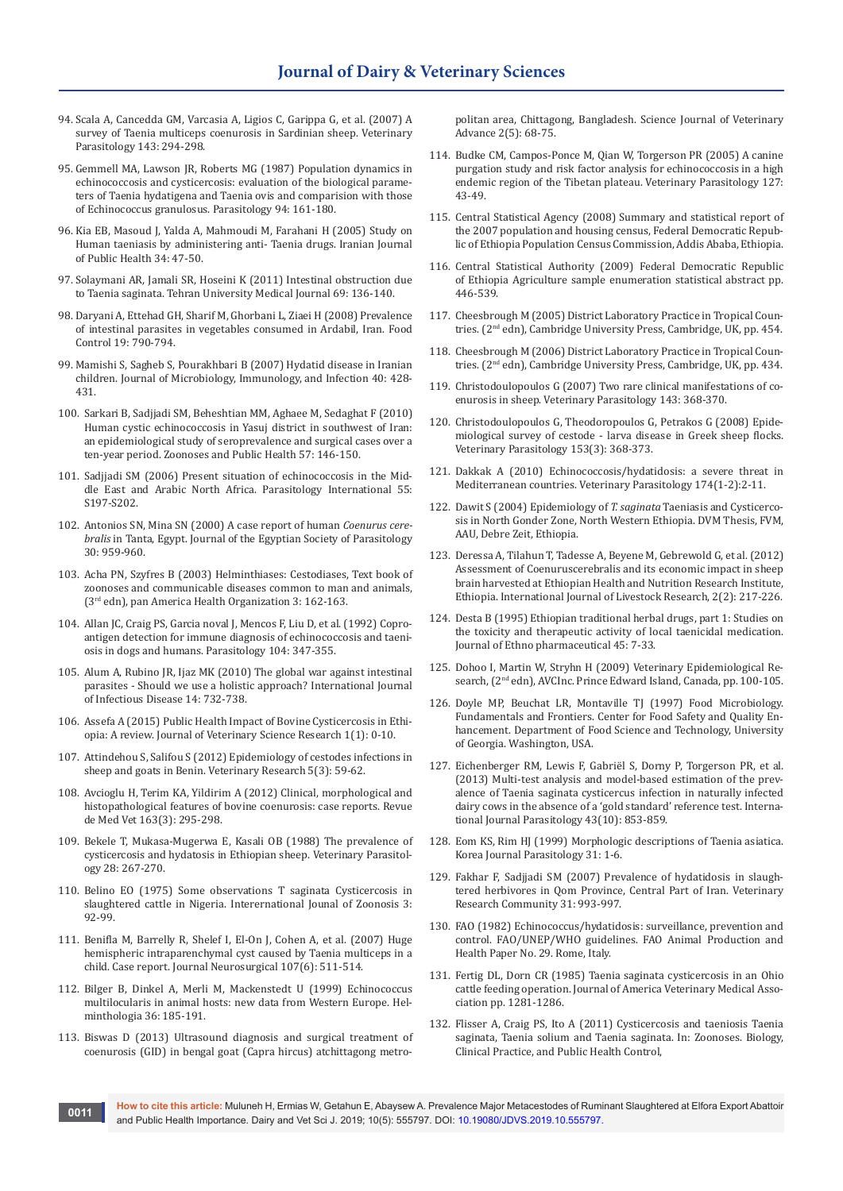- 94. [Scala A, Cancedda GM, Varcasia A, Ligios C, Garippa G, et al. \(2007\) A](https://www.ncbi.nlm.nih.gov/pubmed/16973285)  [survey of Taenia multiceps coenurosis in Sardinian sheep. Veterinary](https://www.ncbi.nlm.nih.gov/pubmed/16973285)  [Parasitology 143: 294-298.](https://www.ncbi.nlm.nih.gov/pubmed/16973285)
- 95. [Gemmell MA, Lawson JR, Roberts MG \(1987\) Population dynamics in](https://www.cambridge.org/core/journals/parasitology/article/population-dynamics-in-echinococcosis-and-cysticercosis-evaluation-of-the-biological-parameters-of-taenia-hydatigena-and-t-ovis-and-comparison-with-those-of-echinococcus-granulosus/68BBFF9D087DD1B34AD9818172BEF21D)  [echinococcosis and cysticercosis: evaluation of the biological parame](https://www.cambridge.org/core/journals/parasitology/article/population-dynamics-in-echinococcosis-and-cysticercosis-evaluation-of-the-biological-parameters-of-taenia-hydatigena-and-t-ovis-and-comparison-with-those-of-echinococcus-granulosus/68BBFF9D087DD1B34AD9818172BEF21D)[ters of Taenia hydatigena and Taenia ovis and comparision with those](https://www.cambridge.org/core/journals/parasitology/article/population-dynamics-in-echinococcosis-and-cysticercosis-evaluation-of-the-biological-parameters-of-taenia-hydatigena-and-t-ovis-and-comparison-with-those-of-echinococcus-granulosus/68BBFF9D087DD1B34AD9818172BEF21D)  [of Echinococcus granulosus. Parasitology 94: 161-180.](https://www.cambridge.org/core/journals/parasitology/article/population-dynamics-in-echinococcosis-and-cysticercosis-evaluation-of-the-biological-parameters-of-taenia-hydatigena-and-t-ovis-and-comparison-with-those-of-echinococcus-granulosus/68BBFF9D087DD1B34AD9818172BEF21D)
- 96. [Kia EB, Masoud J, Yalda A, Mahmoudi M, Farahani H \(2005\) Study on](http://ijph.tums.ac.ir/index.php/ijph/article/view/1843)  [Human taeniasis by administering anti- Taenia drugs. Iranian Journal](http://ijph.tums.ac.ir/index.php/ijph/article/view/1843)  [of Public Health 34: 47-50.](http://ijph.tums.ac.ir/index.php/ijph/article/view/1843)
- 97. Solaymani AR, Jamali SR, Hoseini K (2011) Intestinal obstruction due to Taenia saginata. Tehran University Medical Journal 69: 136-140.
- 98. [Daryani A, Ettehad GH, Sharif M, Ghorbani L, Ziaei H \(2008\) Prevalence](https://www.sciencedirect.com/science/article/pii/S0956713507001648)  [of intestinal parasites in vegetables consumed in Ardabil, Iran. Food](https://www.sciencedirect.com/science/article/pii/S0956713507001648)  [Control 19: 790-794.](https://www.sciencedirect.com/science/article/pii/S0956713507001648)
- 99. [Mamishi S, Sagheb S, Pourakhbari B \(2007\) Hydatid disease in Iranian](https://www.ncbi.nlm.nih.gov/pubmed/17932603)  [children. Journal of Microbiology, Immunology, and Infection 40: 428-](https://www.ncbi.nlm.nih.gov/pubmed/17932603) [431.](https://www.ncbi.nlm.nih.gov/pubmed/17932603)
- 100. [Sarkari B, Sadjjadi SM, Beheshtian MM, Aghaee M, Sedaghat F \(2010\)](https://www.ncbi.nlm.nih.gov/pubmed/19175567)  [Human cystic echinococcosis in Yasuj district in southwest of Iran:](https://www.ncbi.nlm.nih.gov/pubmed/19175567)  [an epidemiological study of seroprevalence and surgical cases over a](https://www.ncbi.nlm.nih.gov/pubmed/19175567)  [ten-year period. Zoonoses and Public Health 57: 146-150.](https://www.ncbi.nlm.nih.gov/pubmed/19175567)
- 101. [Sadjjadi SM \(2006\) Present situation of echinococcosis in the Mid](https://www.ncbi.nlm.nih.gov/pubmed/16337429)[dle East and Arabic North Africa. Parasitology International 55:](https://www.ncbi.nlm.nih.gov/pubmed/16337429)  [S197-S202.](https://www.ncbi.nlm.nih.gov/pubmed/16337429)
- 102. [Antonios SN, Mina SN \(2000\) A case report of human](https://www.ncbi.nlm.nih.gov/pubmed/11198393) *Coenurus cerebralis* [in Tanta, Egypt. Journal of the Egyptian Society of Parasitology](https://www.ncbi.nlm.nih.gov/pubmed/11198393)  [30: 959-960.](https://www.ncbi.nlm.nih.gov/pubmed/11198393)
- 103. Acha PN, Szyfres B (2003) Helminthiases: Cestodiases, Text book of zoonoses and communicable diseases common to man and animals, (3rd edn), pan America Health Organization 3: 162-163.
- 104. [Allan JC, Craig PS, Garcia noval J, Mencos F, Liu D, et al. \(1992\) Copro](https://www.ncbi.nlm.nih.gov/pubmed/1594298)[antigen detection for immune diagnosis of echinococcosis and taeni](https://www.ncbi.nlm.nih.gov/pubmed/1594298)[osis in dogs and humans. Parasitology 104: 347-355.](https://www.ncbi.nlm.nih.gov/pubmed/1594298)
- 105. Alum A, Rubino JR, Ijaz MK (2010) The global war against intestinal parasites - Should we use a holistic approach? International Journal of Infectious Disease 14: 732-738.
- 106. Assefa A (2015) Public Health Impact of Bovine Cysticercosis in Ethiopia: A review. Journal of Veterinary Science Research 1(1): 0-10.
- 107. Attindehou S, Salifou S (2012) Epidemiology of cestodes infections in sheep and goats in Benin. Veterinary Research 5(3): 59-62.
- 108. Avcioglu H, Terim KA, Yildirim A (2012) Clinical, morphological and histopathological features of bovine coenurosis: case reports. Revue de Med Vet 163(3): 295-298.
- 109. [Bekele T, Mukasa-Mugerwa E, Kasali OB \(1988\) The prevalence of](https://www.ncbi.nlm.nih.gov/pubmed/3388745)  [cysticercosis and hydatosis in Ethiopian sheep. Veterinary Parasitol](https://www.ncbi.nlm.nih.gov/pubmed/3388745)[ogy 28: 267-270.](https://www.ncbi.nlm.nih.gov/pubmed/3388745)
- 110. [Belino EO \(1975\) Some observations T saginata Cysticercosis in](https://www.ncbi.nlm.nih.gov/pubmed/1228148)  [slaughtered cattle in Nigeria. Interernational Jounal of Zoonosis 3:](https://www.ncbi.nlm.nih.gov/pubmed/1228148)  [92-99.](https://www.ncbi.nlm.nih.gov/pubmed/1228148)
- 111. [Benifla M, Barrelly R, Shelef I, El-On J, Cohen A, et al. \(2007\) Huge](https://www.ncbi.nlm.nih.gov/pubmed/18154024)  [hemispheric intraparenchymal cyst caused by Taenia multiceps in a](https://www.ncbi.nlm.nih.gov/pubmed/18154024)  [child. Case report. Journal Neurosurgical 107\(6\): 511-514.](https://www.ncbi.nlm.nih.gov/pubmed/18154024)
- 112. Bilger B, Dinkel A, Merli M, Mackenstedt U (1999) Echinococcus multilocularis in animal hosts: new data from Western Europe. Helminthologia 36: 185-191.
- 113. Biswas D (2013) Ultrasound diagnosis and surgical treatment of coenurosis (GID) in bengal goat (Capra hircus) atchittagong metro-

politan area, Chittagong, Bangladesh. Science Journal of Veterinary Advance 2(5): 68-75.

- 114. [Budke CM, Campos-Ponce M, Qian W, Torgerson PR \(2005\) A canine](https://www.ncbi.nlm.nih.gov/pubmed/15619374)  [purgation study and risk factor analysis for echinococcosis in a high](https://www.ncbi.nlm.nih.gov/pubmed/15619374)  [endemic region of the Tibetan plateau. Veterinary Parasitology 127:](https://www.ncbi.nlm.nih.gov/pubmed/15619374)  [43-49.](https://www.ncbi.nlm.nih.gov/pubmed/15619374)
- 115. Central Statistical Agency (2008) Summary and statistical report of the 2007 population and housing census, Federal Democratic Republic of Ethiopia Population Census Commission, Addis Ababa, Ethiopia.
- 116. Central Statistical Authority (2009) Federal Democratic Republic of Ethiopia Agriculture sample enumeration statistical abstract pp. 446-539.
- 117. Cheesbrough M (2005) District Laboratory Practice in Tropical Countries. (2<sup>nd</sup> edn), Cambridge University Press, Cambridge, UK, pp. 454.
- 118. Cheesbrough M (2006) District Laboratory Practice in Tropical Countries. (2nd edn), Cambridge University Press, Cambridge, UK, pp. 434.
- 119. [Christodoulopoulos G \(2007\) Two rare clinical manifestations of co](https://www.ncbi.nlm.nih.gov/pubmed/17027156)[enurosis in sheep. Veterinary Parasitology 143: 368-370.](https://www.ncbi.nlm.nih.gov/pubmed/17027156)
- 120. [Christodoulopoulos G, Theodoropoulos G, Petrakos G \(2008\) Epide](https://www.ncbi.nlm.nih.gov/pubmed/18346853)[miological survey of cestode - larva disease in Greek sheep flocks.](https://www.ncbi.nlm.nih.gov/pubmed/18346853)  [Veterinary Parasitology 153\(3\): 368-373.](https://www.ncbi.nlm.nih.gov/pubmed/18346853)
- 121. [Dakkak A \(2010\) Echinococcosis/hydatidosis: a severe threat in](https://www.ncbi.nlm.nih.gov/pubmed/20888694)  [Mediterranean countries. Veterinary Parasitology 174\(1-2\):2-11.](https://www.ncbi.nlm.nih.gov/pubmed/20888694)
- 122. Dawit S (2004) Epidemiology of *T. saginata* Taeniasis and Cysticercosis in North Gonder Zone, North Western Ethiopia. DVM Thesis, FVM, AAU, Debre Zeit, Ethiopia.
- 123. Deressa A, Tilahun T, Tadesse A, Beyene M, Gebrewold G, et al. (2012) Assessment of Coenuruscerebralis and its economic impact in sheep brain harvested at Ethiopian Health and Nutrition Research Institute, Ethiopia. International Journal of Livestock Research, 2(2): 217-226.
- 124. [Desta B \(1995\) Ethiopian traditional herbal drugs, part 1: Studies on](https://www.ncbi.nlm.nih.gov/pubmed/7739224)  [the toxicity and therapeutic activity of local taenicidal medication.](https://www.ncbi.nlm.nih.gov/pubmed/7739224)  [Journal of Ethno pharmaceutical 45: 7-33.](https://www.ncbi.nlm.nih.gov/pubmed/7739224)
- 125. Dohoo I, Martin W, Stryhn H (2009) Veterinary Epidemiological Research, (2<sup>nd</sup> edn), AVCInc. Prince Edward Island, Canada, pp. 100-105.
- 126. Doyle MP, Beuchat LR, Montaville TJ (1997) Food Microbiology. Fundamentals and Frontiers. Center for Food Safety and Quality Enhancement. Department of Food Science and Technology, University of Georgia. Washington, USA.
- 127. [Eichenberger RM, Lewis F, Gabriël S, Dorny P, Torgerson PR, et al.](https://www.ncbi.nlm.nih.gov/pubmed/23831108)  [\(2013\) Multi-test analysis and model-based estimation of the prev](https://www.ncbi.nlm.nih.gov/pubmed/23831108)[alence of Taenia saginata cysticercus infection in naturally infected](https://www.ncbi.nlm.nih.gov/pubmed/23831108)  [dairy cows in the absence of a 'gold standard' reference test. Interna](https://www.ncbi.nlm.nih.gov/pubmed/23831108)[tional Journal Parasitology 43\(10\): 853-859.](https://www.ncbi.nlm.nih.gov/pubmed/23831108)
- 128. Eom KS, Rim HJ (1999) Morphologic descriptions of Taenia asiatica. Korea Journal Parasitology 31: 1-6.
- 129. Fakhar F, Sadjjadi SM (2007) Prevalence of hydatidosis in slaughtered herbivores in Qom Province, Central Part of Iran. Veterinary Research Community 31: 993-997.
- 130. FAO (1982) Echinococcus/hydatidosis: surveillance, prevention and control. FAO/UNEP/WHO guidelines. FAO Animal Production and Health Paper No. 29. Rome, Italy.
- 131. Fertig DL, Dorn CR (1985) Taenia saginata cysticercosis in an Ohio cattle feeding operation. Journal of America Veterinary Medical Association pp. 1281-1286.
- 132. Flisser A, Craig PS, Ito A (2011) Cysticercosis and taeniosis Taenia saginata, Taenia solium and Taenia saginata. In: Zoonoses. Biology, Clinical Practice, and Public Health Control,

**How to cite this article:** Muluneh H, Ermias W, Getahun E, Abaysew A. Prevalence Major Metacestodes of Ruminant Slaughtered at Elfora Export Abattoir and Public Health Importance. Dairy and Vet Sci J. 2019; 10(5): 555797. DOI: [10.19080/JDVS.2019.10.555797.](http://dx.doi.org/10.19080/JDVS.2019.10.555797) **and Public Health Importance. Dairy and Vet** Sci J. 2019; 10(5): 555797. DOI: 10.19080/JDVS.2019.10.555797.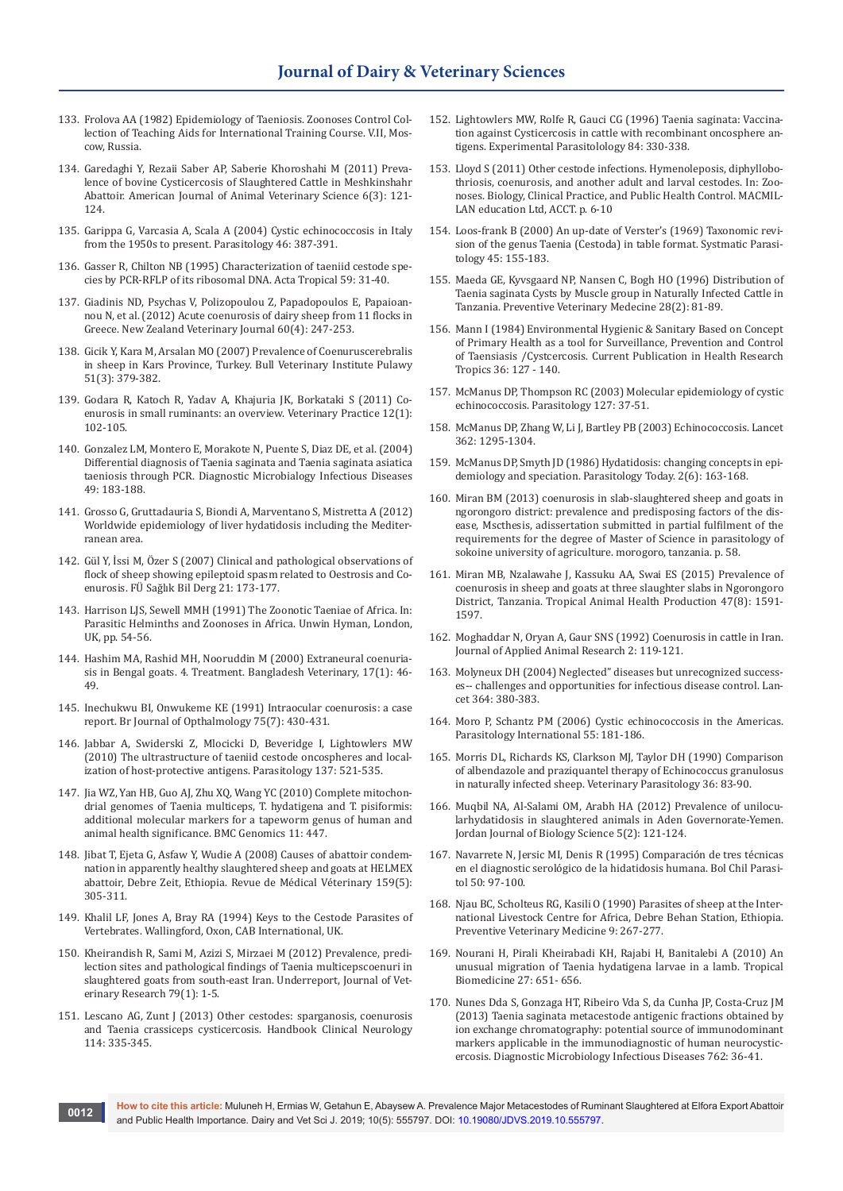- 133. Frolova AA (1982) Epidemiology of Taeniosis. Zoonoses Control Collection of Teaching Aids for International Training Course. V.II, Moscow, Russia.
- 134. Garedaghi Y, Rezaii Saber AP, Saberie Khoroshahi M (2011) Prevalence of bovine Cysticercosis of Slaughtered Cattle in Meshkinshahr Abattoir. American Journal of Animal Veterinary Science 6(3): 121- 124.
- 135. [Garippa G, Varcasia A, Scala A \(2004\) Cystic echinococcosis in Italy](https://www.ncbi.nlm.nih.gov/pubmed/16044697)  [from the 1950s to present. Parasitology 46: 387-391.](https://www.ncbi.nlm.nih.gov/pubmed/16044697)
- 136. [Gasser R, Chilton NB \(1995\) Characterization of taeniid cestode spe](https://www.ncbi.nlm.nih.gov/pubmed/7785524)[cies by PCR-RFLP of its ribosomal DNA. Acta Tropical 59: 31-40.](https://www.ncbi.nlm.nih.gov/pubmed/7785524)
- 137. [Giadinis ND, Psychas V, Polizopoulou Z, Papadopoulos E, Papaioan](https://www.ncbi.nlm.nih.gov/pubmed/22506508)[nou N, et al. \(2012\) Acute coenurosis of dairy sheep from 11 flocks in](https://www.ncbi.nlm.nih.gov/pubmed/22506508)  [Greece. New Zealand Veterinary Journal 60\(4\): 247-253.](https://www.ncbi.nlm.nih.gov/pubmed/22506508)
- 138. Gicik Y, Kara M, Arsalan MO (2007) Prevalence of Coenuruscerebralis in sheep in Kars Province, Turkey. Bull Veterinary Institute Pulawy 51(3): 379-382.
- 139. Godara R, Katoch R, Yadav A, Khajuria JK, Borkataki S (2011) Coenurosis in small ruminants: an overview. Veterinary Practice 12(1): 102-105.
- 140. [Gonzalez LM, Montero E, Morakote N, Puente S, Diaz DE, et al. \(2004\)](https://www.ncbi.nlm.nih.gov/pubmed/15246508)  [Differential diagnosis of Taenia saginata and Taenia saginata asiatica](https://www.ncbi.nlm.nih.gov/pubmed/15246508)  [taeniosis through PCR. Diagnostic Microbialogy Infectious Diseases](https://www.ncbi.nlm.nih.gov/pubmed/15246508)  [49: 183-188.](https://www.ncbi.nlm.nih.gov/pubmed/15246508)
- 141. Grosso G, Gruttadauria S, Biondi A, Marventano S, Mistretta A (2012) Worldwide epidemiology of liver hydatidosis including the Mediterranean area.
- 142. Gül Y, İssi M, Özer S (2007) Clinical and pathological observations of flock of sheep showing epileptoid spasm related to Oestrosis and Coenurosis. FÜ Sağlık Bil Derg 21: 173-177.
- 143. Harrison LJS, Sewell MMH (1991) The Zoonotic Taeniae of Africa. In: Parasitic Helminths and Zoonoses in Africa. Unwin Hyman, London, UK, pp. 54-56.
- 144. [Hashim MA, Rashid MH, Nooruddin M \(2000\) Extraneural coenuria](https://www.cabdirect.org/cabdirect/abstract/20013086136)[sis in Bengal goats. 4. Treatment. Bangladesh Veterinary, 17\(1\): 46-](https://www.cabdirect.org/cabdirect/abstract/20013086136) [49.](https://www.cabdirect.org/cabdirect/abstract/20013086136)
- 145. Inechukwu BI, Onwukeme KE (1991) Intraocular coenurosis: a case report. Br Journal of Opthalmology 75(7): 430-431.
- 146. [Jabbar A, Swiderski Z, Mlocicki D, Beveridge I, Lightowlers MW](https://www.ncbi.nlm.nih.gov/pubmed/19835645)  [\(2010\) The ultrastructure of taeniid cestode oncospheres and local](https://www.ncbi.nlm.nih.gov/pubmed/19835645)[ization of host-protective antigens. Parasitology 137: 521-535.](https://www.ncbi.nlm.nih.gov/pubmed/19835645)
- 147. [Jia WZ, Yan HB, Guo AJ, Zhu XQ, Wang YC \(2010\) Complete mitochon](https://www.ncbi.nlm.nih.gov/pubmed/20649981)[drial genomes of Taenia multiceps, T. hydatigena and T. pisiformis:](https://www.ncbi.nlm.nih.gov/pubmed/20649981)  [additional molecular markers for a tapeworm genus of human and](https://www.ncbi.nlm.nih.gov/pubmed/20649981)  [animal health significance. BMC Genomics 11: 447.](https://www.ncbi.nlm.nih.gov/pubmed/20649981)
- 148. Jibat T, Ejeta G, Asfaw Y, Wudie A (2008) Causes of abattoir condemnation in apparently healthy slaughtered sheep and goats at HELMEX abattoir, Debre Zeit, Ethiopia. Revue de Médical Véterinary 159(5): 305-311.
- 149. Khalil LF, Jones A, Bray RA (1994) Keys to the Cestode Parasites of Vertebrates. Wallingford, Oxon, CAB International, UK.
- 150. [Kheirandish R, Sami M, Azizi S, Mirzaei M \(2012\) Prevalence, predi](https://www.ncbi.nlm.nih.gov/pubmed/23327321)[lection sites and pathological findings of Taenia multicepscoenuri in](https://www.ncbi.nlm.nih.gov/pubmed/23327321)  [slaughtered goats from south-east Iran. Underreport, Journal of Vet](https://www.ncbi.nlm.nih.gov/pubmed/23327321)[erinary Research 79\(1\): 1-5.](https://www.ncbi.nlm.nih.gov/pubmed/23327321)
- 151. [Lescano AG, Zunt J \(2013\) Other cestodes: sparganosis, coenurosis](https://www.ncbi.nlm.nih.gov/pubmed/23829923)  [and Taenia crassiceps cysticercosis. Handbook Clinical Neurology](https://www.ncbi.nlm.nih.gov/pubmed/23829923)  [114: 335-345.](https://www.ncbi.nlm.nih.gov/pubmed/23829923)
- 152. [Lightowlers MW, Rolfe R, Gauci CG \(1996\) Taenia saginata: Vaccina](https://www.ncbi.nlm.nih.gov/pubmed/8948322)[tion against Cysticercosis in cattle with recombinant oncosphere an](https://www.ncbi.nlm.nih.gov/pubmed/8948322)[tigens. Experimental Parasitolology 84: 330-338.](https://www.ncbi.nlm.nih.gov/pubmed/8948322)
- 153. Lloyd S (2011) Other cestode infections. Hymenoleposis, diphyllobothriosis, coenurosis, and another adult and larval cestodes. In: Zoonoses. Biology, Clinical Practice, and Public Health Control. MACMIL-LAN education Ltd, ACCT. p. 6-10
- 154. [Loos-frank B \(2000\) An up-date of Verster's \(1969\) Taxonomic revi](https://www.ncbi.nlm.nih.gov/pubmed/10768761)[sion of the genus Taenia \(Cestoda\) in table format. Systmatic Parasi](https://www.ncbi.nlm.nih.gov/pubmed/10768761)[tology 45: 155-183.](https://www.ncbi.nlm.nih.gov/pubmed/10768761)
- 155. [Maeda GE, Kyvsgaard NP, Nansen C, Bogh HO \(1996\) Distribution of](https://www.sciencedirect.com/science/article/pii/0167587796010367)  [Taenia saginata Cysts by Muscle group in Naturally Infected Cattle in](https://www.sciencedirect.com/science/article/pii/0167587796010367)  [Tanzania. Preventive Veterinary Medecine 28\(2\): 81-89.](https://www.sciencedirect.com/science/article/pii/0167587796010367)
- 156. Mann I (1984) Environmental Hygienic & Sanitary Based on Concept of Primary Health as a tool for Surveillance, Prevention and Control of Taensiasis /Cystcercosis. Current Publication in Health Research Tropics 36: 127 - 140.
- 157. [McManus DP, Thompson RC \(2003\) Molecular epidemiology of cystic](https://www.ncbi.nlm.nih.gov/pubmed/15042999)  [echinococcosis. Parasitology 127: 37-51.](https://www.ncbi.nlm.nih.gov/pubmed/15042999)
- 158. McManus DP, Zhang W, Li J, Bartley PB (2003) Echinococcosis. Lancet 362: 1295-1304.
- 159. [McManus DP, Smyth JD \(1986\) Hydatidosis: changing concepts in epi](https://www.ncbi.nlm.nih.gov/pubmed/15462811)[demiology and speciation. Parasitology Today. 2\(6\): 163-168.](https://www.ncbi.nlm.nih.gov/pubmed/15462811)
- 160. Miran BM (2013) coenurosis in slab-slaughtered sheep and goats in ngorongoro district: prevalence and predisposing factors of the disease, Mscthesis, adissertation submitted in partial fulfilment of the requirements for the degree of Master of Science in parasitology of sokoine university of agriculture. morogoro, tanzania. p. 58.
- 161. [Miran MB, Nzalawahe J, Kassuku AA, Swai ES \(2015\) Prevalence of](https://www.ncbi.nlm.nih.gov/pubmed/26306799)  [coenurosis in sheep and goats at three slaughter slabs in Ngorongoro](https://www.ncbi.nlm.nih.gov/pubmed/26306799)  [District, Tanzania. Tropical Animal Health Production 47\(8\): 1591-](https://www.ncbi.nlm.nih.gov/pubmed/26306799) [1597.](https://www.ncbi.nlm.nih.gov/pubmed/26306799)
- 162. Moghaddar N, Oryan A, Gaur SNS (1992) Coenurosis in cattle in Iran. Journal of Applied Animal Research 2: 119-121.
- 163. [Molyneux DH \(2004\) Neglected" diseases but unrecognized success](https://www.ncbi.nlm.nih.gov/pubmed/15276399)[es-- challenges and opportunities for infectious disease control. Lan](https://www.ncbi.nlm.nih.gov/pubmed/15276399)[cet 364: 380-383.](https://www.ncbi.nlm.nih.gov/pubmed/15276399)
- 164. [Moro P, Schantz PM \(2006\) Cystic echinococcosis in the Americas.](https://www.ncbi.nlm.nih.gov/pubmed/16376604)  [Parasitology International 55: 181-186.](https://www.ncbi.nlm.nih.gov/pubmed/16376604)
- 165. [Morris DL, Richards KS, Clarkson MJ, Taylor DH \(1990\) Comparison](https://www.ncbi.nlm.nih.gov/pubmed/2382392)  [of albendazole and praziquantel therapy of Echinococcus granulosus](https://www.ncbi.nlm.nih.gov/pubmed/2382392)  [in naturally infected sheep. Veterinary Parasitology 36: 83-90.](https://www.ncbi.nlm.nih.gov/pubmed/2382392)
- 166. Muqbil NA, Al-Salami OM, Arabh HA (2012) Prevalence of unilocularhydatidosis in slaughtered animals in Aden Governorate-Yemen. Jordan Journal of Biology Science 5(2): 121-124.
- 167. Navarrete N, Jersic MI, Denis R (1995) Comparación de tres técnicas en el diagnostic serológico de la hidatidosis humana. Bol Chil Parasitol 50: 97-100.
- 168. Njau BC, Scholteus RG, Kasili O (1990) Parasites of sheep at the International Livestock Centre for Africa, Debre Behan Station, Ethiopia. Preventive Veterinary Medicine 9: 267-277.
- 169. [Nourani H, Pirali Kheirabadi KH, Rajabi H, Banitalebi A \(2010\) An](https://www.ncbi.nlm.nih.gov/pubmed/21399607)  [unusual migration of Taenia hydatigena larvae in a lamb. Tropical](https://www.ncbi.nlm.nih.gov/pubmed/21399607)  [Biomedicine 27: 651- 656.](https://www.ncbi.nlm.nih.gov/pubmed/21399607)
- 170. [Nunes Dda S, Gonzaga HT, Ribeiro Vda S, da Cunha JP, Costa-Cruz JM](https://www.ncbi.nlm.nih.gov/pubmed/23433713)  [\(2013\) Taenia saginata metacestode antigenic fractions obtained by](https://www.ncbi.nlm.nih.gov/pubmed/23433713)  [ion exchange chromatography: potential source of immunodominant](https://www.ncbi.nlm.nih.gov/pubmed/23433713)  [markers applicable in the immunodiagnostic of human neurocystic](https://www.ncbi.nlm.nih.gov/pubmed/23433713)[ercosis. Diagnostic Microbiology Infectious Diseases 762: 36-41.](https://www.ncbi.nlm.nih.gov/pubmed/23433713)

**How to cite this article:** Muluneh H, Ermias W, Getahun E, Abaysew A. Prevalence Major Metacestodes of Ruminant Slaughtered at Elfora Export Abattoir and Public Health Importance. Dairy and Vet Sci J. 2019; 10(5): 555797. DOI: [10.19080/JDVS.2019.10.555797.](http://dx.doi.org/10.19080/JDVS.2019.10.555797) **and Public Health Importance. Dairy and Vet** Sci J. 2019; 10(5): 555797. DOI: 10.19080/JDVS.2019.10.555797.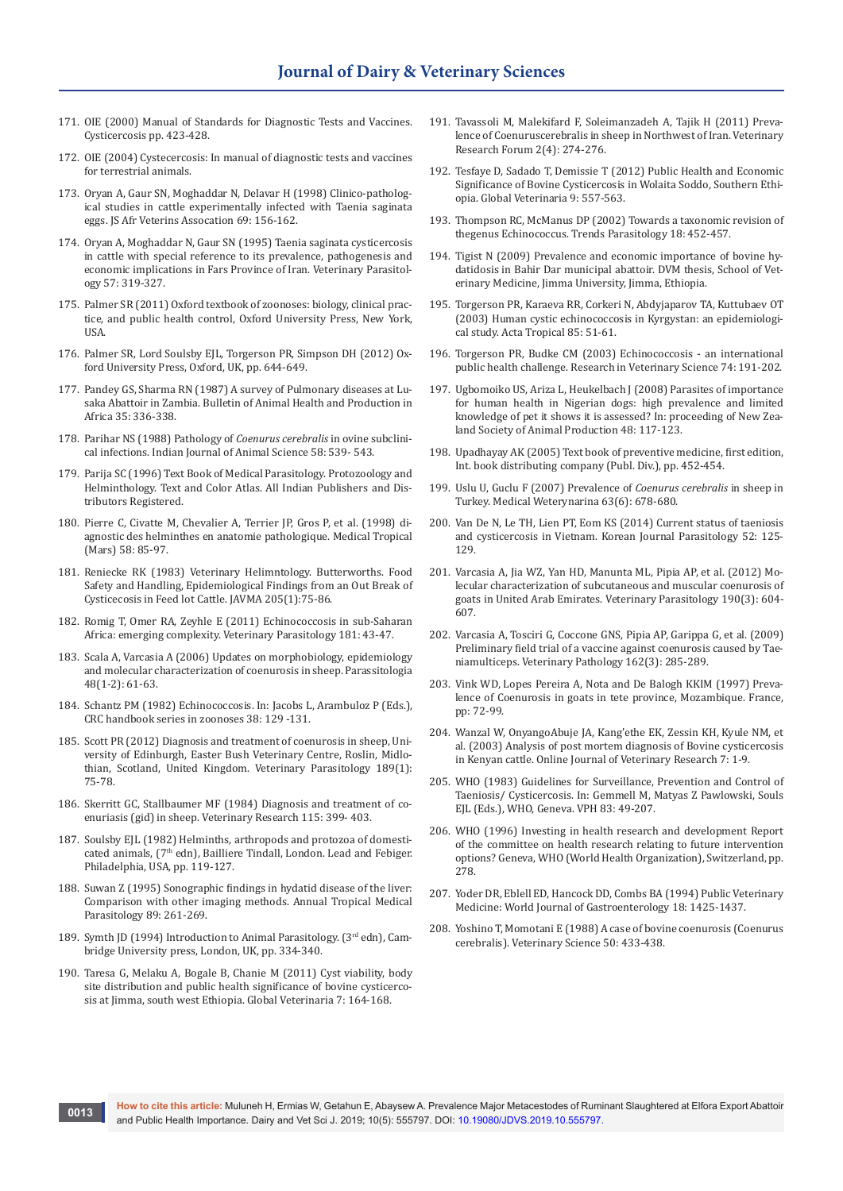- 171. OIE (2000) Manual of Standards for Diagnostic Tests and Vaccines. Cysticercosis pp. 423-428.
- 172. OIE (2004) Cystecercosis: In manual of diagnostic tests and vaccines for terrestrial animals.
- 173. [Oryan A, Gaur SN, Moghaddar N, Delavar H \(1998\) Clinico-patholog](https://jsava.co.za/index.php/jsava/article/view/845)[ical studies in cattle experimentally infected with Taenia saginata](https://jsava.co.za/index.php/jsava/article/view/845)  [eggs. JS Afr Veterins Assocation 69: 156-162.](https://jsava.co.za/index.php/jsava/article/view/845)
- 174. [Oryan A, Moghaddar N, Gaur SN \(1995\) Taenia saginata cysticercosis](https://www.ncbi.nlm.nih.gov/pubmed/7660569)  [in cattle with special reference to its prevalence, pathogenesis and](https://www.ncbi.nlm.nih.gov/pubmed/7660569)  [economic implications in Fars Province of Iran. Veterinary Parasitol](https://www.ncbi.nlm.nih.gov/pubmed/7660569)[ogy 57: 319-327.](https://www.ncbi.nlm.nih.gov/pubmed/7660569)
- 175. Palmer SR (2011) Oxford textbook of zoonoses: biology, clinical practice, and public health control, Oxford University Press, New York, USA.
- 176. Palmer SR, Lord Soulsby EJL, Torgerson PR, Simpson DH (2012) Oxford University Press, Oxford, UK, pp. 644-649.
- 177. Pandey GS, Sharma RN (1987) A survey of Pulmonary diseases at Lusaka Abattoir in Zambia. Bulletin of Animal Health and Production in Africa 35: 336-338.
- 178. Parihar NS (1988) Pathology of *Coenurus cerebralis* in ovine subclinical infections. Indian Journal of Animal Science 58: 539- 543.
- 179. Parija SC (1996) Text Book of Medical Parasitology. Protozoology and Helminthology. Text and Color Atlas. All Indian Publishers and Distributors Registered.
- 180. [Pierre C, Civatte M, Chevalier A, Terrier JP, Gros P, et al. \(1998\) di](https://www.ncbi.nlm.nih.gov/pubmed/9718562)[agnostic des helminthes en anatomie pathologique. Medical Tropical](https://www.ncbi.nlm.nih.gov/pubmed/9718562)  [\(Mars\) 58: 85-97.](https://www.ncbi.nlm.nih.gov/pubmed/9718562)
- 181. Reniecke RK (1983) Veterinary Helimntology. Butterworths. Food Safety and Handling, Epidemiological Findings from an Out Break of Cysticecosis in Feed lot Cattle. JAVMA 205(1):75-86.
- 182. [Romig T, Omer RA, Zeyhle E \(2011\) Echinococcosis in sub-Saharan](https://www.ncbi.nlm.nih.gov/pubmed/21561714)  [Africa: emerging complexity. Veterinary Parasitology 181: 43-47.](https://www.ncbi.nlm.nih.gov/pubmed/21561714)
- 183. [Scala A, Varcasia A \(2006\) Updates on morphobiology, epidemiology](https://www.ncbi.nlm.nih.gov/pubmed/16881398)  [and molecular characterization of coenurosis in sheep. Parassitologia](https://www.ncbi.nlm.nih.gov/pubmed/16881398)  [48\(1-2\): 61-63.](https://www.ncbi.nlm.nih.gov/pubmed/16881398)
- 184. Schantz PM (1982) Echinococcosis. In: Jacobs L, Arambuloz P (Eds.), CRC handbook series in zoonoses 38: 129 -131.
- 185. [Scott PR \(2012\) Diagnosis and treatment of coenurosis in sheep, Uni](https://www.ncbi.nlm.nih.gov/pubmed/22503036)[versity of Edinburgh, Easter Bush Veterinary Centre, Roslin, Midlo](https://www.ncbi.nlm.nih.gov/pubmed/22503036)[thian, Scotland, United Kingdom. Veterinary Parasitology 189\(1\):](https://www.ncbi.nlm.nih.gov/pubmed/22503036)  [75-78.](https://www.ncbi.nlm.nih.gov/pubmed/22503036)
- 186. [Skerritt GC, Stallbaumer MF \(1984\) Diagnosis and treatment of co](https://www.ncbi.nlm.nih.gov/pubmed/6506419)[enuriasis \(gid\) in sheep. Veterinary Research 115: 399- 403.](https://www.ncbi.nlm.nih.gov/pubmed/6506419)
- 187. Soulsby EJL (1982) Helminths, arthropods and protozoa of domesticated animals, (7<sup>th</sup> edn), Bailliere Tindall, London. Lead and Febiger. Philadelphia, USA, pp. 119-127.
- 188. [Suwan Z \(1995\) Sonographic findings in hydatid disease of the liver:](https://www.ncbi.nlm.nih.gov/pubmed/7668917)  [Comparison with other imaging methods. Annual Tropical Medical](https://www.ncbi.nlm.nih.gov/pubmed/7668917)  [Parasitology 89: 261-269.](https://www.ncbi.nlm.nih.gov/pubmed/7668917)
- 189. Symth JD (1994) Introduction to Animal Parasitology. (3rd edn), Cambridge University press, London, UK, pp. 334-340.
- 190. Taresa G, Melaku A, Bogale B, Chanie M (2011) Cyst viability, body site distribution and public health significance of bovine cysticercosis at Jimma, south west Ethiopia. Global Veterinaria 7: 164-168.
- 191. Tavassoli M, Malekifard F, Soleimanzadeh A, Tajik H (2011) Prevalence of Coenuruscerebralis in sheep in Northwest of Iran. Veterinary Research Forum 2(4): 274-276.
- 192. Tesfaye D, Sadado T, Demissie T (2012) Public Health and Economic Significance of Bovine Cysticercosis in Wolaita Soddo, Southern Ethiopia. Global Veterinaria 9: 557-563.
- 193. [Thompson RC, McManus DP \(2002\) Towards a taxonomic revision of](https://www.ncbi.nlm.nih.gov/pubmed/12377596)  [thegenus Echinococcus. Trends Parasitology 18: 452-457.](https://www.ncbi.nlm.nih.gov/pubmed/12377596)
- 194. Tigist N (2009) Prevalence and economic importance of bovine hydatidosis in Bahir Dar municipal abattoir. DVM thesis, School of Veterinary Medicine, Jimma University, Jimma, Ethiopia.
- 195. [Torgerson PR, Karaeva RR, Corkeri N, Abdyjaparov TA, Kuttubaev OT](https://www.ncbi.nlm.nih.gov/pubmed/12505183)  [\(2003\) Human cystic echinococcosis in Kyrgystan: an epidemiologi](https://www.ncbi.nlm.nih.gov/pubmed/12505183)[cal study. Acta Tropical 85: 51-61.](https://www.ncbi.nlm.nih.gov/pubmed/12505183)
- 196. [Torgerson PR, Budke CM \(2003\) Echinococcosis an international](https://www.ncbi.nlm.nih.gov/pubmed/12726737)  [public health challenge. Research in Veterinary Science 74: 191-202.](https://www.ncbi.nlm.nih.gov/pubmed/12726737)
- 197. [Ugbomoiko US, Ariza L, Heukelbach J \(2008\) Parasites of importance](https://www.ncbi.nlm.nih.gov/pubmed/19068110)  [for human health in Nigerian dogs: high prevalence and limited](https://www.ncbi.nlm.nih.gov/pubmed/19068110)  [knowledge of pet it shows it is assessed? In: proceeding of New Zea](https://www.ncbi.nlm.nih.gov/pubmed/19068110)[land Society of Animal Production 48: 117-123.](https://www.ncbi.nlm.nih.gov/pubmed/19068110)
- 198. Upadhayay AK (2005) Text book of preventive medicine, first edition, Int. book distributing company (Publ. Div.), pp. 452-454.
- 199. Uslu U, Guclu F (2007) Prevalence of *Coenurus cerebralis* in sheep in Turkey. Medical Weterynarina 63(6): 678-680.
- 200. Van De N, Le TH, Lien PT, Eom KS (2014) Current status of taeniosis and cysticercosis in Vietnam. Korean Journal Parasitology 52: 125- 129.
- 201. [Varcasia A, Jia WZ, Yan HD, Manunta ML, Pipia AP, et al. \(2012\) Mo](https://www.ncbi.nlm.nih.gov/pubmed/22884911)[lecular characterization of subcutaneous and muscular coenurosis of](https://www.ncbi.nlm.nih.gov/pubmed/22884911)  [goats in United Arab Emirates. Veterinary Parasitology 190\(3\): 604-](https://www.ncbi.nlm.nih.gov/pubmed/22884911) [607.](https://www.ncbi.nlm.nih.gov/pubmed/22884911)
- 202. [Varcasia A, Tosciri G, Coccone GNS, Pipia AP, Garippa G, et al. \(2009\)](https://www.ncbi.nlm.nih.gov/pubmed/19345506)  [Preliminary field trial of a vaccine against coenurosis caused by Tae](https://www.ncbi.nlm.nih.gov/pubmed/19345506)[niamulticeps. Veterinary Pathology 162\(3\): 285-289.](https://www.ncbi.nlm.nih.gov/pubmed/19345506)
- 203. Vink WD, Lopes Pereira A, Nota and De Balogh KKIM (1997) Prevalence of Coenurosis in goats in tete province, Mozambique. France, pp: 72-99.
- 204. Wanzal W, OnyangoAbuje JA, Kang'ethe EK, Zessin KH, Kyule NM, et al. (2003) Analysis of post mortem diagnosis of Bovine cysticercosis in Kenyan cattle. Online Journal of Veterinary Research 7: 1-9.
- 205. [WHO \(1983\) Guidelines for Surveillance, Prevention and Control of](https://apps.who.int/iris/handle/10665/66403)  [Taeniosis/ Cysticercosis. In: Gemmell M, Matyas Z Pawlowski, Souls](https://apps.who.int/iris/handle/10665/66403)  [EJL \(Eds.\), WHO, Geneva. VPH 83: 49-207.](https://apps.who.int/iris/handle/10665/66403)
- 206. [WHO \(1996\) Investing in health research and development Report](https://apps.who.int/iris/handle/10665/63024)  [of the committee on health research relating to future intervention](https://apps.who.int/iris/handle/10665/63024)  [options? Geneva, WHO \(World Health Organization\), Switzerland, pp.](https://apps.who.int/iris/handle/10665/63024)  [278.](https://apps.who.int/iris/handle/10665/63024)
- 207. Yoder DR, Eblell ED, Hancock DD, Combs BA (1994) Public Veterinary Medicine: World Journal of Gastroenterology 18: 1425-1437.
- 208. [Yoshino T, Momotani E \(1988\) A case of bovine coenurosis \(Coenurus](https://www.ncbi.nlm.nih.gov/pubmed/3386098)  [cerebralis\). Veterinary Science 50: 433-438.](https://www.ncbi.nlm.nih.gov/pubmed/3386098)